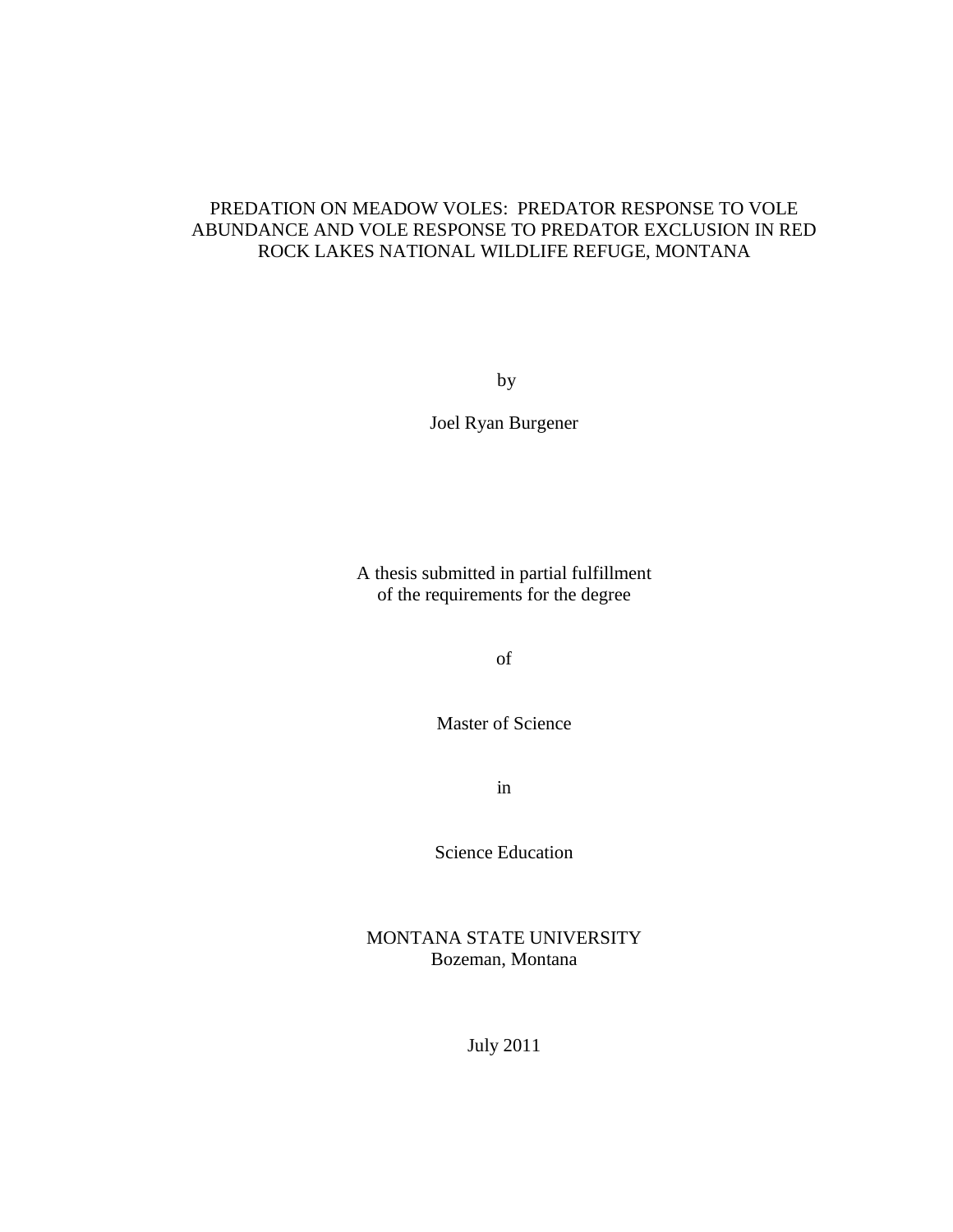# PREDATION ON MEADOW VOLES: PREDATOR RESPONSE TO VOLE ABUNDANCE AND VOLE RESPONSE TO PREDATOR EXCLUSION IN RED ROCK LAKES NATIONAL WILDLIFE REFUGE, MONTANA

by

Joel Ryan Burgener

A thesis submitted in partial fulfillment of the requirements for the degree

of

Master of Science

in

Science Education

MONTANA STATE UNIVERSITY Bozeman, Montana

July 2011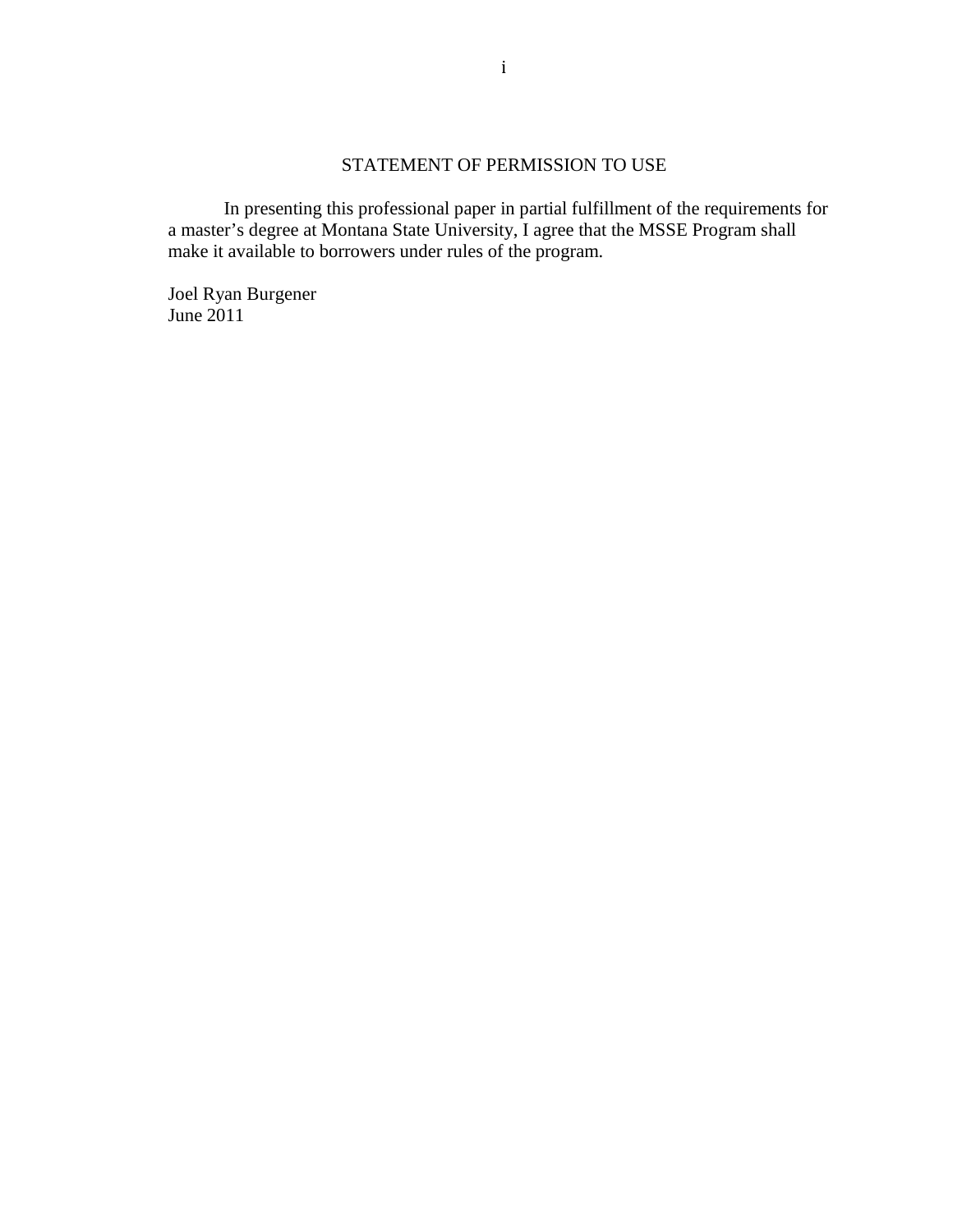# STATEMENT OF PERMISSION TO USE

In presenting this professional paper in partial fulfillment of the requirements for a master's degree at Montana State University, I agree that the MSSE Program shall make it available to borrowers under rules of the program.

Joel Ryan Burgener June 2011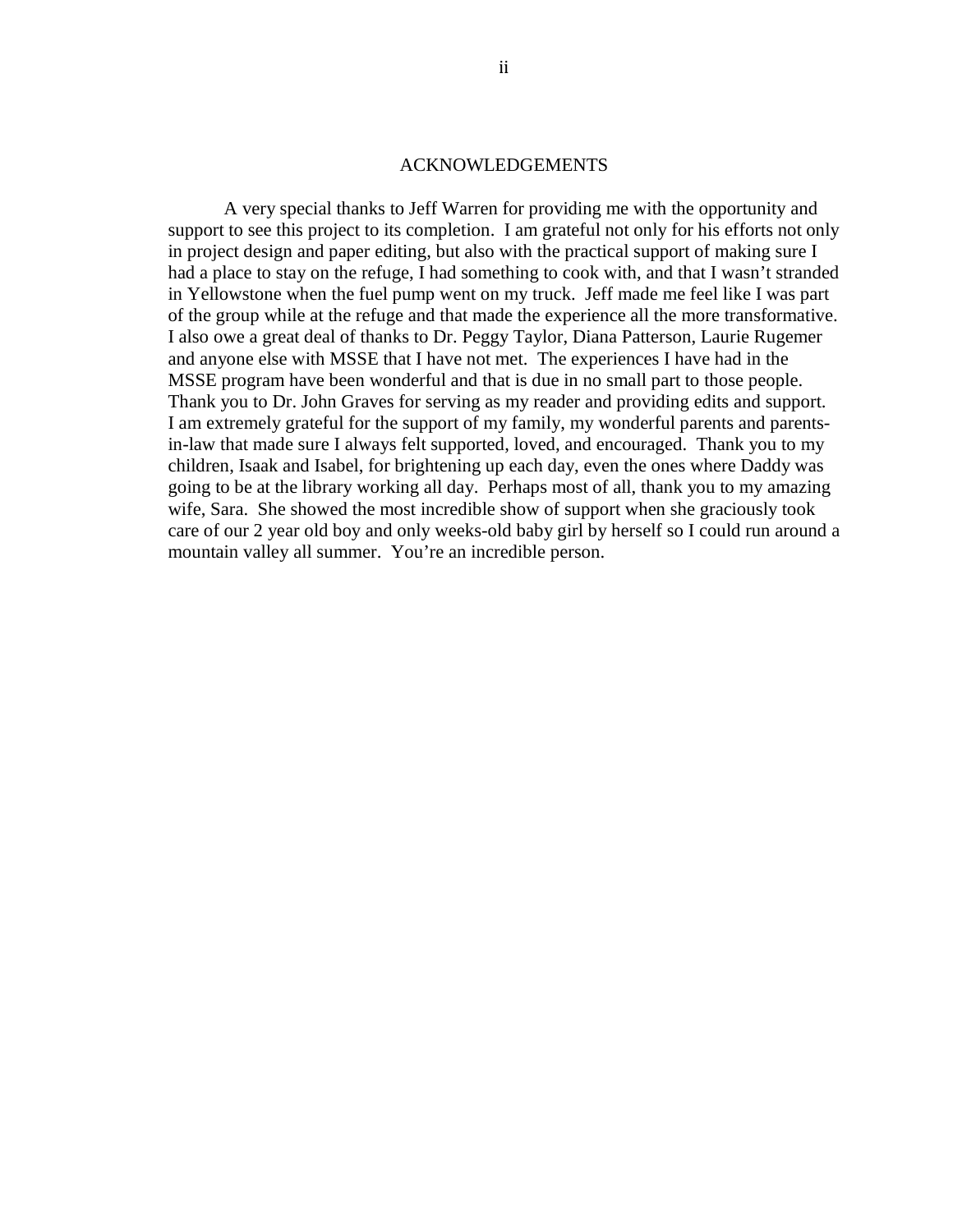#### ACKNOWLEDGEMENTS

A very special thanks to Jeff Warren for providing me with the opportunity and support to see this project to its completion. I am grateful not only for his efforts not only in project design and paper editing, but also with the practical support of making sure I had a place to stay on the refuge, I had something to cook with, and that I wasn't stranded in Yellowstone when the fuel pump went on my truck. Jeff made me feel like I was part of the group while at the refuge and that made the experience all the more transformative. I also owe a great deal of thanks to Dr. Peggy Taylor, Diana Patterson, Laurie Rugemer and anyone else with MSSE that I have not met. The experiences I have had in the MSSE program have been wonderful and that is due in no small part to those people. Thank you to Dr. John Graves for serving as my reader and providing edits and support. I am extremely grateful for the support of my family, my wonderful parents and parentsin-law that made sure I always felt supported, loved, and encouraged. Thank you to my children, Isaak and Isabel, for brightening up each day, even the ones where Daddy was going to be at the library working all day. Perhaps most of all, thank you to my amazing wife, Sara. She showed the most incredible show of support when she graciously took care of our 2 year old boy and only weeks-old baby girl by herself so I could run around a mountain valley all summer. You're an incredible person.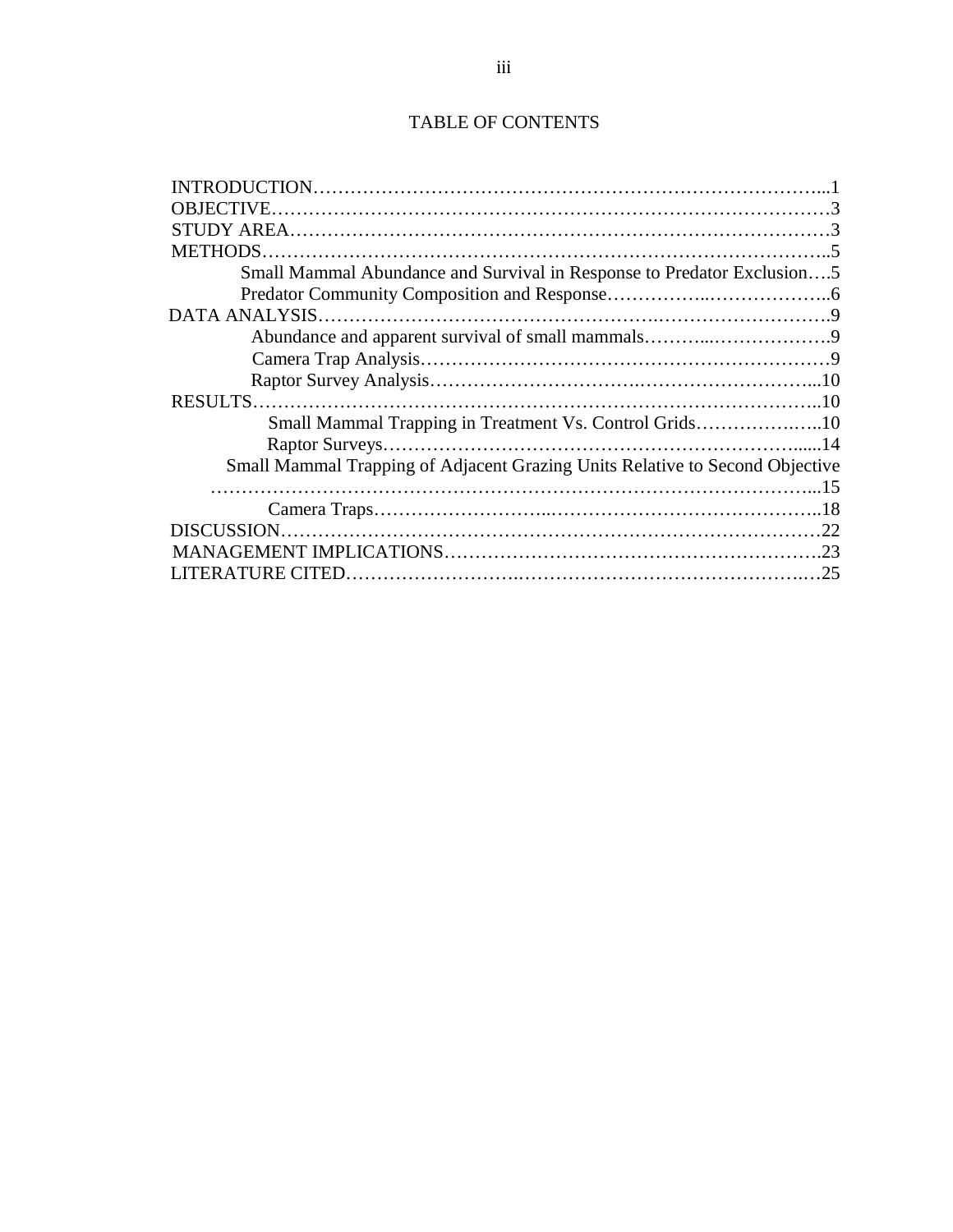# TABLE OF CONTENTS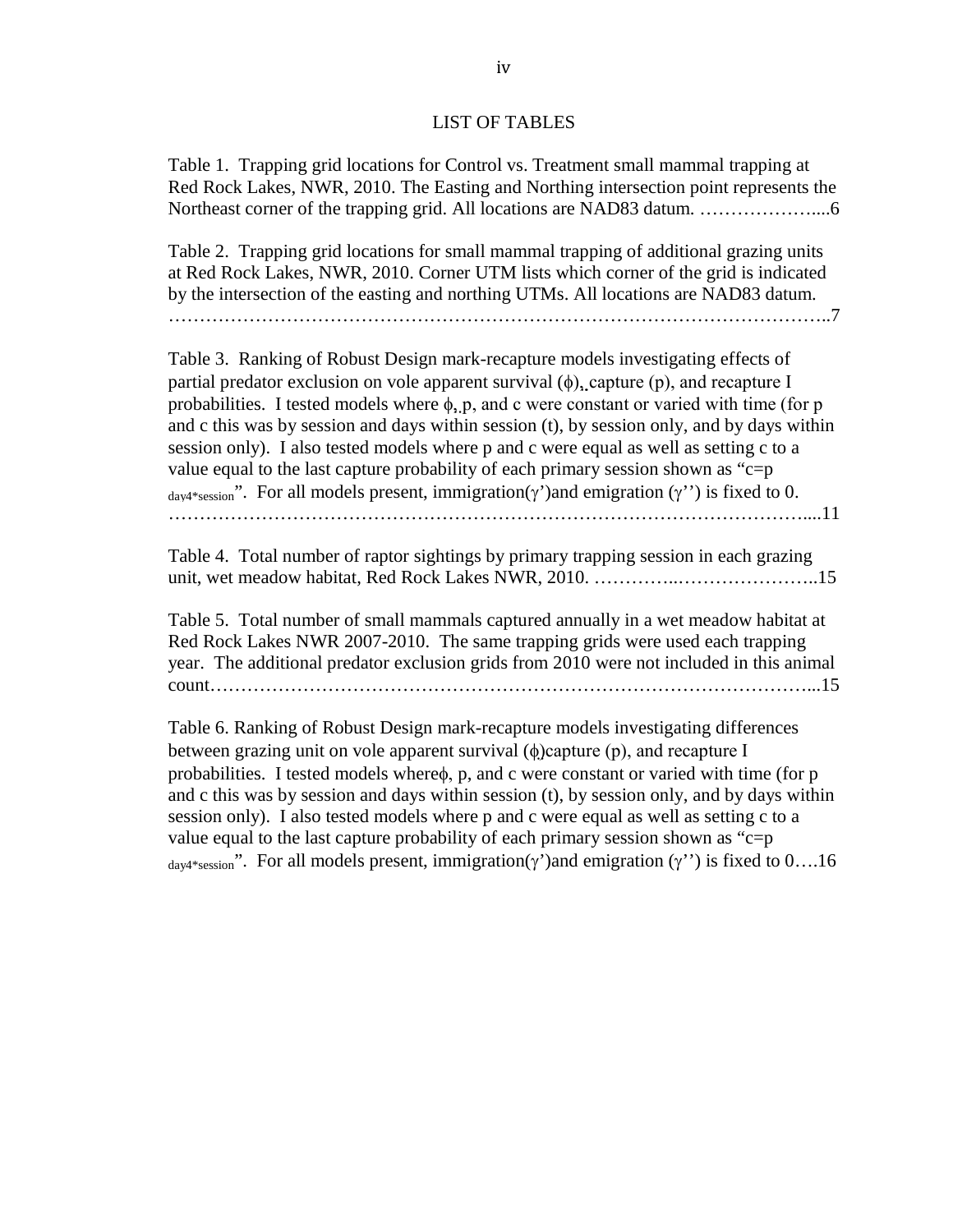# LIST OF TABLES

Table 1. Trapping grid locations for Control vs. Treatment small mammal trapping at Red Rock Lakes, NWR, 2010. The Easting and Northing intersection point represents the Northeast corner of the trapping grid. All locations are NAD83 datum. ………………....6

Table 2. Trapping grid locations for small mammal trapping of additional grazing units at Red Rock Lakes, NWR, 2010. Corner UTM lists which corner of the grid is indicated by the intersection of the easting and northing UTMs. All locations are NAD83 datum.

……………………………………………………………………………………………..7

Table 3. Ranking of Robust Design mark-recapture models investigating effects of partial predator exclusion on vole apparent survival  $(\phi)$ , capture  $(p)$ , and recapture I probabilities. I tested models where  $\phi$ , p, and c were constant or varied with time (for p and c this was by session and days within session (t), by session only, and by days within session only). I also tested models where p and c were equal as well as setting c to a value equal to the last capture probability of each primary session shown as " $c=p$ "  $_{\text{dav4*session}}$ ". For all models present, immigration(γ')and emigration (γ'') is fixed to 0. …………………………………………………………………………………………....11

Table 4. Total number of raptor sightings by primary trapping session in each grazing unit, wet meadow habitat, Red Rock Lakes NWR, 2010. …………..…………………..15

Table 5. Total number of small mammals captured annually in a wet meadow habitat at Red Rock Lakes NWR 2007-2010. The same trapping grids were used each trapping year. The additional predator exclusion grids from 2010 were not included in this animal count……………………………………………………………………………………...15

Table 6. Ranking of Robust Design mark-recapture models investigating differences between grazing unit on vole apparent survival (φ)capture (p), and recapture I probabilities. I tested models whereφ, p, and c were constant or varied with time (for p and c this was by session and days within session (t), by session only, and by days within session only). I also tested models where p and c were equal as well as setting c to a value equal to the last capture probability of each primary session shown as "c=p"  $_{\text{dav4*session}}$ ". For all models present, immigration(γ')and emigration (γ'') is fixed to 0....16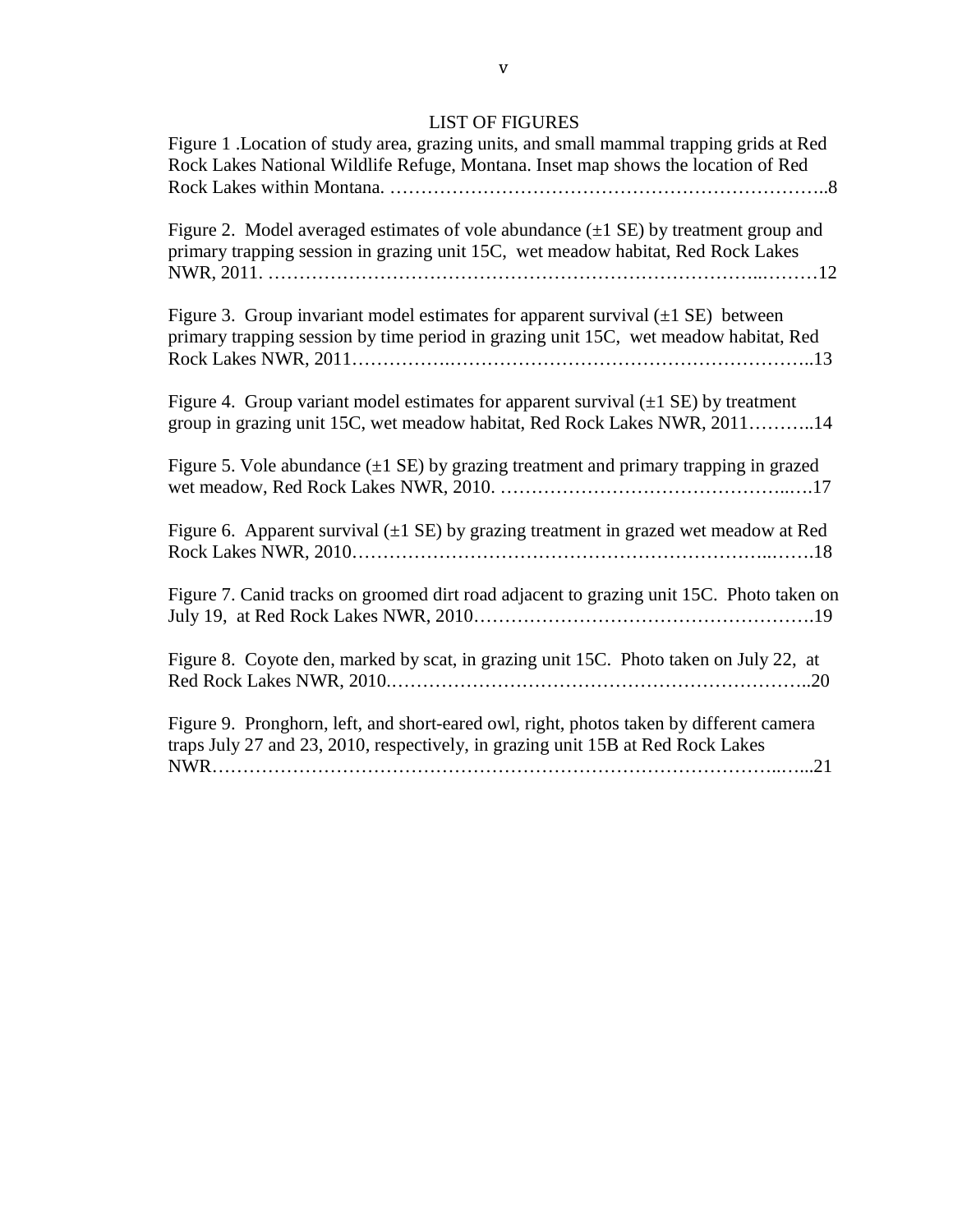# LIST OF FIGURES

| Figure 1 .Location of study area, grazing units, and small mammal trapping grids at Red<br>Rock Lakes National Wildlife Refuge, Montana. Inset map shows the location of Red         |
|--------------------------------------------------------------------------------------------------------------------------------------------------------------------------------------|
| Figure 2. Model averaged estimates of vole abundance $(\pm 1 \text{ SE})$ by treatment group and<br>primary trapping session in grazing unit 15C, wet meadow habitat, Red Rock Lakes |
| Figure 3. Group invariant model estimates for apparent survival $(\pm 1 \text{ SE})$ between<br>primary trapping session by time period in grazing unit 15C, wet meadow habitat, Red |
| Figure 4. Group variant model estimates for apparent survival $(\pm 1 \text{ SE})$ by treatment<br>group in grazing unit 15C, wet meadow habitat, Red Rock Lakes NWR, 201114         |
| Figure 5. Vole abundance $(\pm 1 \text{ SE})$ by grazing treatment and primary trapping in grazed                                                                                    |
| Figure 6. Apparent survival $(\pm 1 \text{ SE})$ by grazing treatment in grazed wet meadow at Red                                                                                    |
| Figure 7. Canid tracks on groomed dirt road adjacent to grazing unit 15C. Photo taken on                                                                                             |
| Figure 8. Coyote den, marked by scat, in grazing unit 15C. Photo taken on July 22, at                                                                                                |
| Figure 9. Pronghorn, left, and short-eared owl, right, photos taken by different camera<br>traps July 27 and 23, 2010, respectively, in grazing unit 15B at Red Rock Lakes           |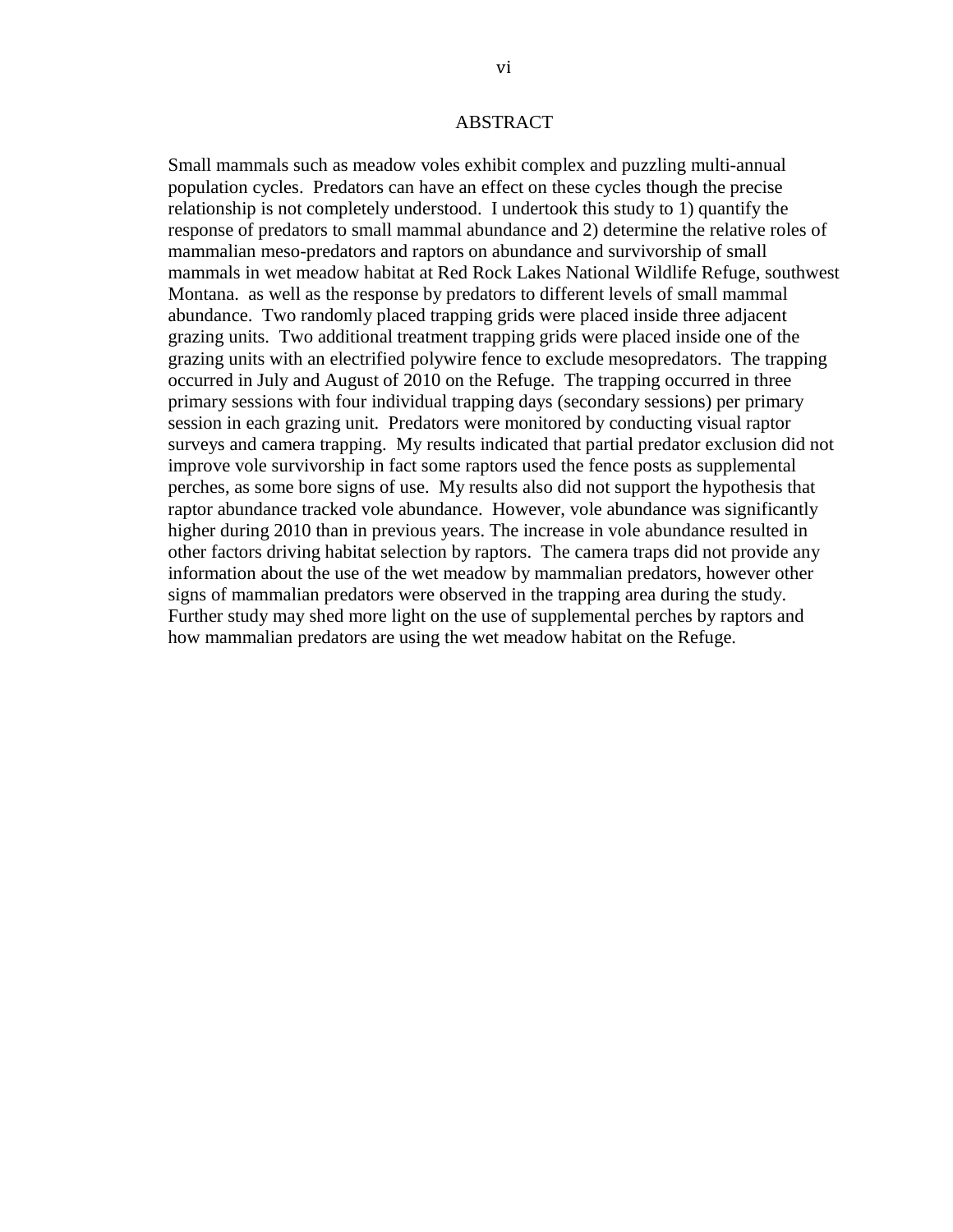# ABSTRACT

Small mammals such as meadow voles exhibit complex and puzzling multi-annual population cycles. Predators can have an effect on these cycles though the precise relationship is not completely understood. I undertook this study to 1) quantify the response of predators to small mammal abundance and 2) determine the relative roles of mammalian meso-predators and raptors on abundance and survivorship of small mammals in wet meadow habitat at Red Rock Lakes National Wildlife Refuge, southwest Montana. as well as the response by predators to different levels of small mammal abundance. Two randomly placed trapping grids were placed inside three adjacent grazing units. Two additional treatment trapping grids were placed inside one of the grazing units with an electrified polywire fence to exclude mesopredators. The trapping occurred in July and August of 2010 on the Refuge. The trapping occurred in three primary sessions with four individual trapping days (secondary sessions) per primary session in each grazing unit. Predators were monitored by conducting visual raptor surveys and camera trapping. My results indicated that partial predator exclusion did not improve vole survivorship in fact some raptors used the fence posts as supplemental perches, as some bore signs of use. My results also did not support the hypothesis that raptor abundance tracked vole abundance. However, vole abundance was significantly higher during 2010 than in previous years. The increase in vole abundance resulted in other factors driving habitat selection by raptors. The camera traps did not provide any information about the use of the wet meadow by mammalian predators, however other signs of mammalian predators were observed in the trapping area during the study. Further study may shed more light on the use of supplemental perches by raptors and how mammalian predators are using the wet meadow habitat on the Refuge.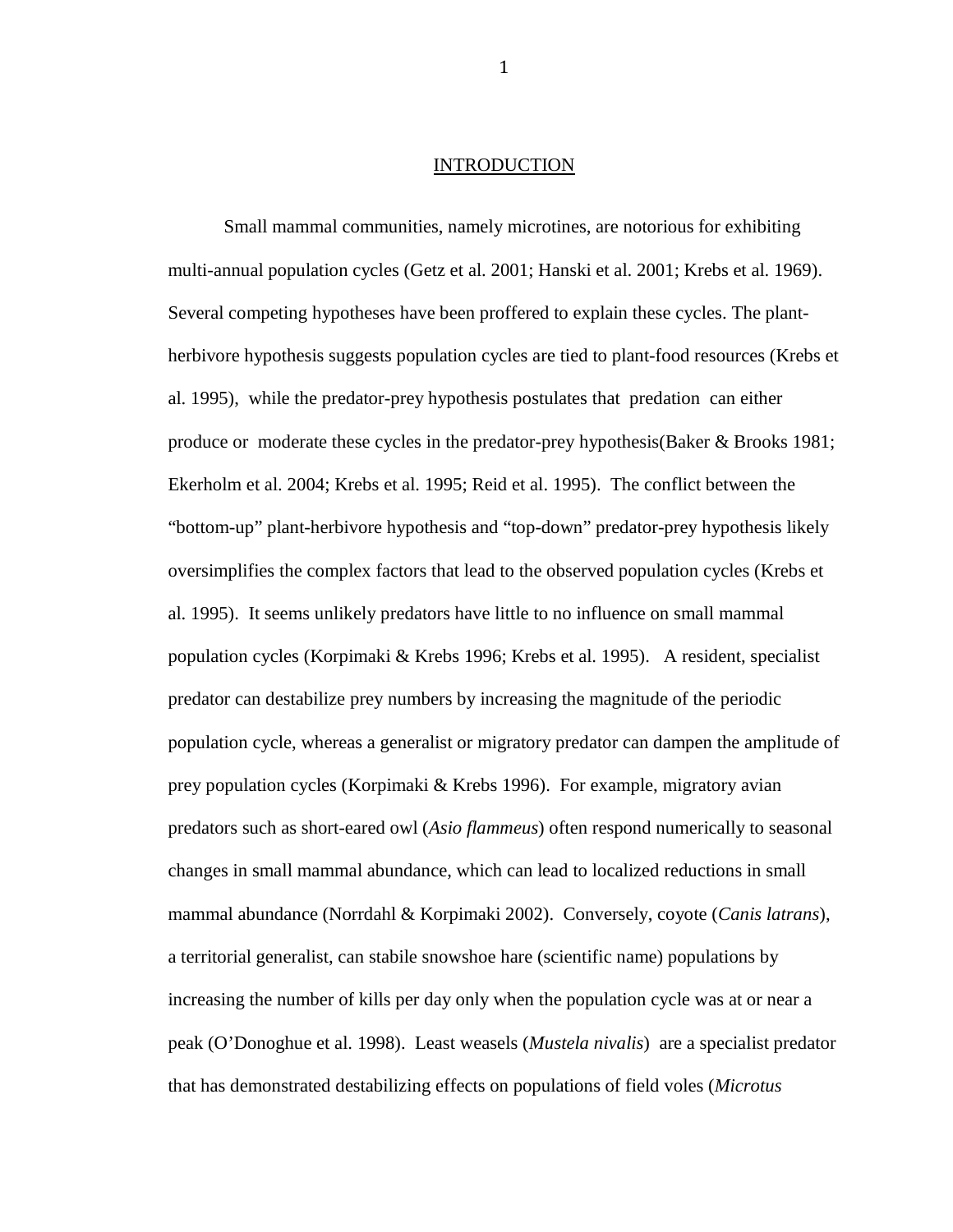## INTRODUCTION

Small mammal communities, namely microtines, are notorious for exhibiting multi-annual population cycles (Getz et al. 2001; Hanski et al. 2001; Krebs et al. 1969). Several competing hypotheses have been proffered to explain these cycles. The plantherbivore hypothesis suggests population cycles are tied to plant-food resources (Krebs et al. 1995), while the predator-prey hypothesis postulates that predation can either produce or moderate these cycles in the predator-prey hypothesis(Baker & Brooks 1981; Ekerholm et al. 2004; Krebs et al. 1995; Reid et al. 1995). The conflict between the "bottom-up" plant-herbivore hypothesis and "top-down" predator-prey hypothesis likely oversimplifies the complex factors that lead to the observed population cycles (Krebs et al. 1995). It seems unlikely predators have little to no influence on small mammal population cycles (Korpimaki & Krebs 1996; Krebs et al. 1995). A resident, specialist predator can destabilize prey numbers by increasing the magnitude of the periodic population cycle, whereas a generalist or migratory predator can dampen the amplitude of prey population cycles (Korpimaki & Krebs 1996). For example, migratory avian predators such as short-eared owl (*Asio flammeus*) often respond numerically to seasonal changes in small mammal abundance, which can lead to localized reductions in small mammal abundance (Norrdahl & Korpimaki 2002). Conversely, coyote (*Canis latrans*), a territorial generalist, can stabile snowshoe hare (scientific name) populations by increasing the number of kills per day only when the population cycle was at or near a peak (O'Donoghue et al. 1998). Least weasels (*Mustela nivalis*) are a specialist predator that has demonstrated destabilizing effects on populations of field voles (*Microtus*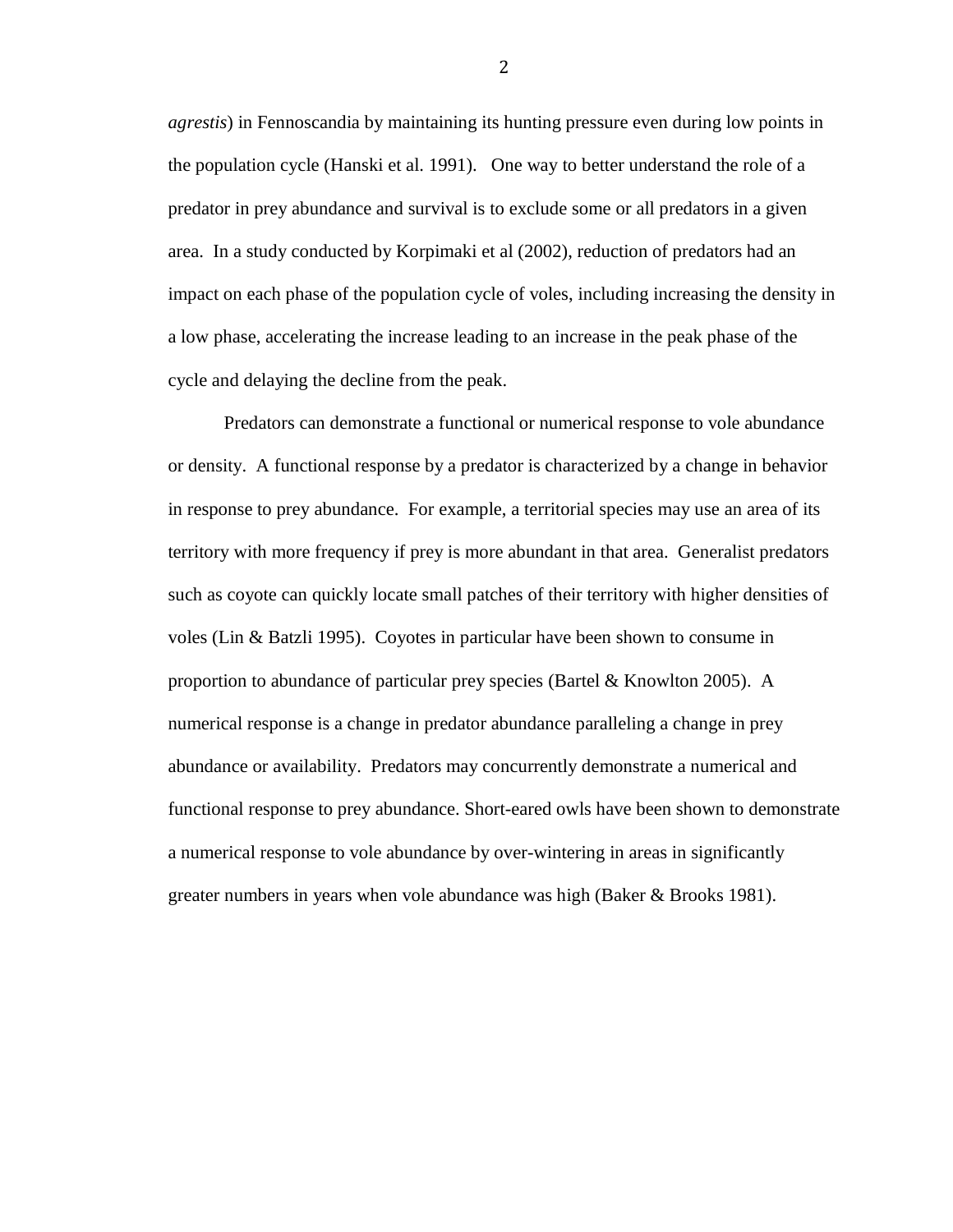*agrestis*) in Fennoscandia by maintaining its hunting pressure even during low points in the population cycle (Hanski et al. 1991). One way to better understand the role of a predator in prey abundance and survival is to exclude some or all predators in a given area. In a study conducted by Korpimaki et al (2002), reduction of predators had an impact on each phase of the population cycle of voles, including increasing the density in a low phase, accelerating the increase leading to an increase in the peak phase of the cycle and delaying the decline from the peak.

Predators can demonstrate a functional or numerical response to vole abundance or density. A functional response by a predator is characterized by a change in behavior in response to prey abundance. For example, a territorial species may use an area of its territory with more frequency if prey is more abundant in that area. Generalist predators such as coyote can quickly locate small patches of their territory with higher densities of voles (Lin & Batzli 1995). Coyotes in particular have been shown to consume in proportion to abundance of particular prey species (Bartel & Knowlton 2005). A numerical response is a change in predator abundance paralleling a change in prey abundance or availability. Predators may concurrently demonstrate a numerical and functional response to prey abundance. Short-eared owls have been shown to demonstrate a numerical response to vole abundance by over-wintering in areas in significantly greater numbers in years when vole abundance was high (Baker & Brooks 1981).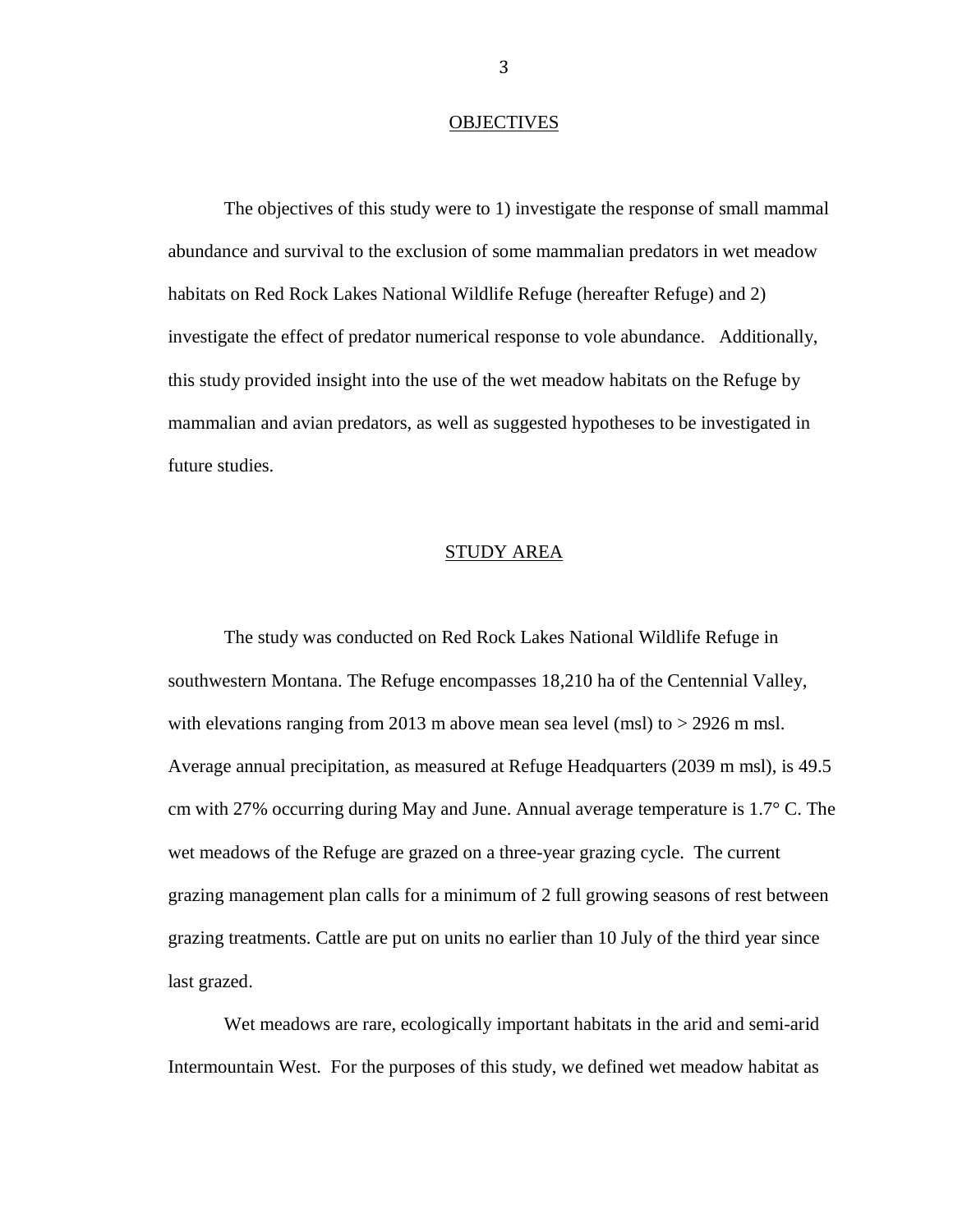#### **OBJECTIVES**

The objectives of this study were to 1) investigate the response of small mammal abundance and survival to the exclusion of some mammalian predators in wet meadow habitats on Red Rock Lakes National Wildlife Refuge (hereafter Refuge) and 2) investigate the effect of predator numerical response to vole abundance. Additionally, this study provided insight into the use of the wet meadow habitats on the Refuge by mammalian and avian predators, as well as suggested hypotheses to be investigated in future studies.

## STUDY AREA

The study was conducted on Red Rock Lakes National Wildlife Refuge in southwestern Montana. The Refuge encompasses 18,210 ha of the Centennial Valley, with elevations ranging from 2013 m above mean sea level (msl) to  $>$  2926 m msl. Average annual precipitation, as measured at Refuge Headquarters (2039 m msl), is 49.5 cm with 27% occurring during May and June. Annual average temperature is 1.7° C. The wet meadows of the Refuge are grazed on a three-year grazing cycle. The current grazing management plan calls for a minimum of 2 full growing seasons of rest between grazing treatments. Cattle are put on units no earlier than 10 July of the third year since last grazed.

Wet meadows are rare, ecologically important habitats in the arid and semi-arid Intermountain West. For the purposes of this study, we defined wet meadow habitat as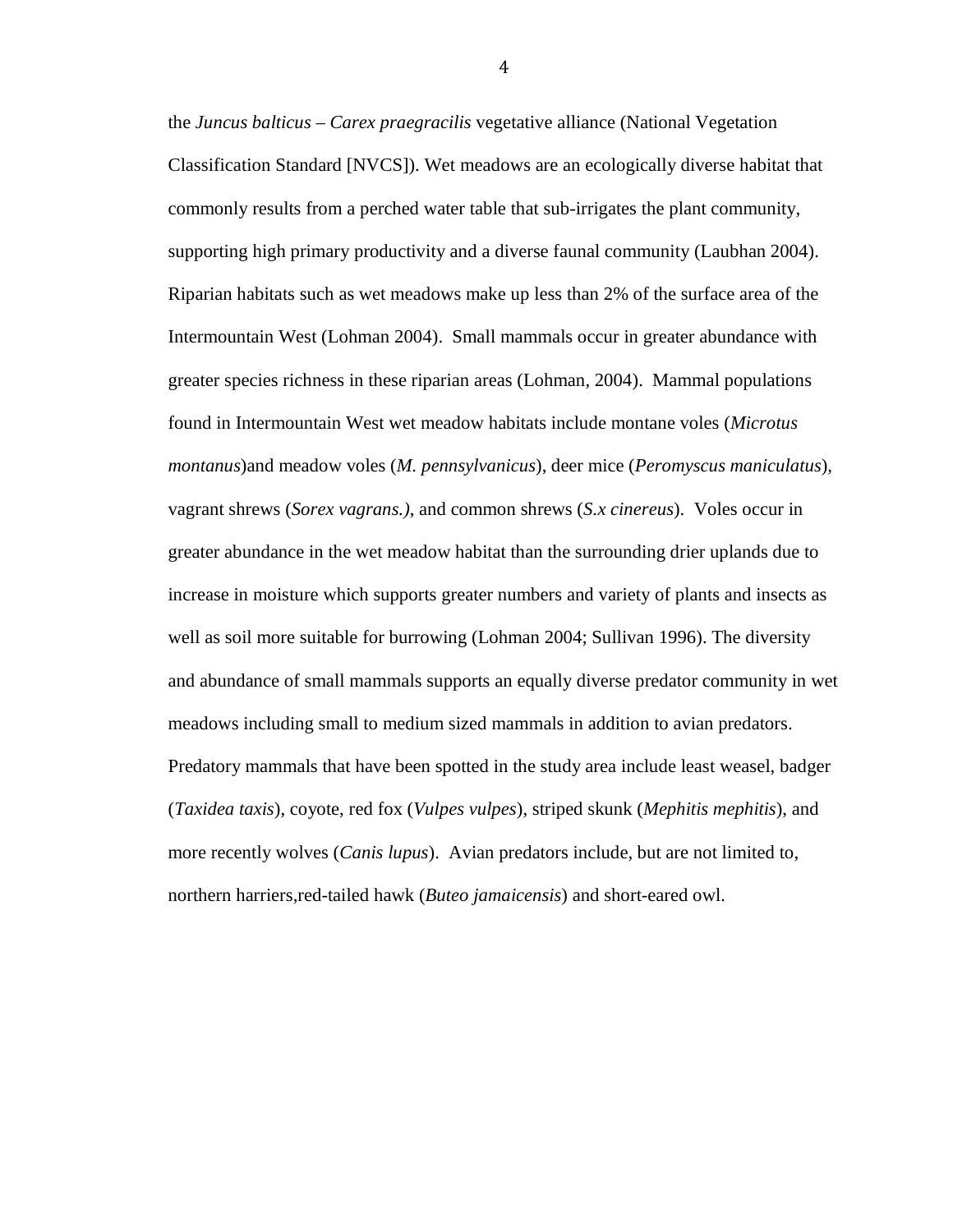the *Juncus balticus* – *Carex praegracilis* vegetative alliance (National Vegetation Classification Standard [NVCS]). Wet meadows are an ecologically diverse habitat that commonly results from a perched water table that sub-irrigates the plant community, supporting high primary productivity and a diverse faunal community (Laubhan 2004). Riparian habitats such as wet meadows make up less than 2% of the surface area of the Intermountain West (Lohman 2004). Small mammals occur in greater abundance with greater species richness in these riparian areas (Lohman, 2004). Mammal populations found in Intermountain West wet meadow habitats include montane voles (*Microtus montanus*)and meadow voles (*M. pennsylvanicus*), deer mice (*Peromyscus maniculatus*), vagrant shrews (*Sorex vagrans.)*, and common shrews (*S.x cinereus*). Voles occur in greater abundance in the wet meadow habitat than the surrounding drier uplands due to increase in moisture which supports greater numbers and variety of plants and insects as well as soil more suitable for burrowing (Lohman 2004; Sullivan 1996). The diversity and abundance of small mammals supports an equally diverse predator community in wet meadows including small to medium sized mammals in addition to avian predators. Predatory mammals that have been spotted in the study area include least weasel, badger (*Taxidea taxis*), coyote, red fox (*Vulpes vulpes*), striped skunk (*Mephitis mephitis*), and more recently wolves (*Canis lupus*). Avian predators include, but are not limited to, northern harriers,red-tailed hawk (*Buteo jamaicensis*) and short-eared owl.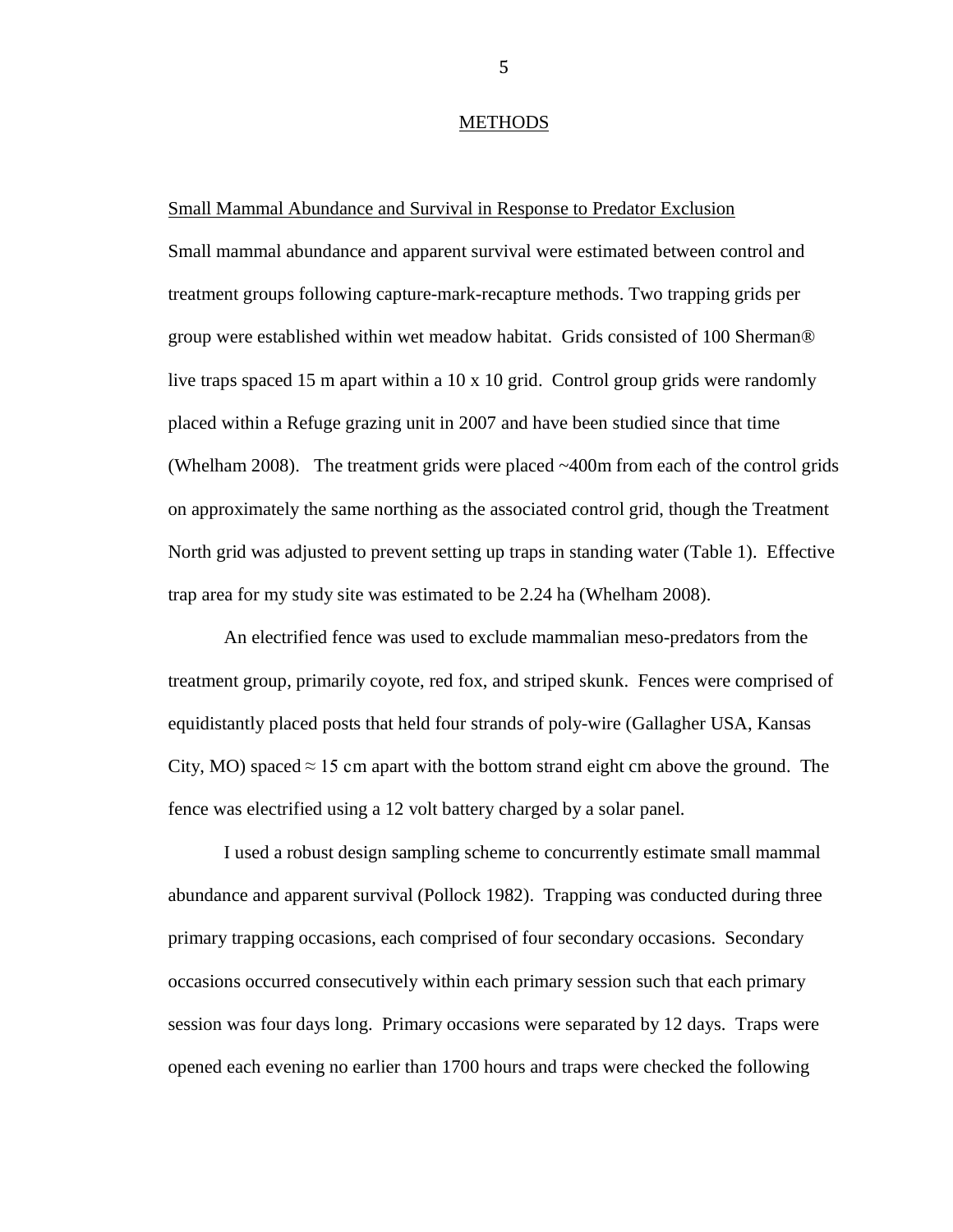#### METHODS

### Small Mammal Abundance and Survival in Response to Predator Exclusion

Small mammal abundance and apparent survival were estimated between control and treatment groups following capture-mark-recapture methods. Two trapping grids per group were established within wet meadow habitat. Grids consisted of 100 Sherman® live traps spaced 15 m apart within a  $10 \times 10$  grid. Control group grids were randomly placed within a Refuge grazing unit in 2007 and have been studied since that time (Whelham 2008). The treatment grids were placed ~400m from each of the control grids on approximately the same northing as the associated control grid, though the Treatment North grid was adjusted to prevent setting up traps in standing water (Table 1). Effective trap area for my study site was estimated to be 2.24 ha (Whelham 2008).

An electrified fence was used to exclude mammalian meso-predators from the treatment group, primarily coyote, red fox, and striped skunk. Fences were comprised of equidistantly placed posts that held four strands of poly-wire (Gallagher USA, Kansas City, MO) spaced  $\approx$  15 cm apart with the bottom strand eight cm above the ground. The fence was electrified using a 12 volt battery charged by a solar panel.

I used a robust design sampling scheme to concurrently estimate small mammal abundance and apparent survival (Pollock 1982). Trapping was conducted during three primary trapping occasions, each comprised of four secondary occasions. Secondary occasions occurred consecutively within each primary session such that each primary session was four days long. Primary occasions were separated by 12 days. Traps were opened each evening no earlier than 1700 hours and traps were checked the following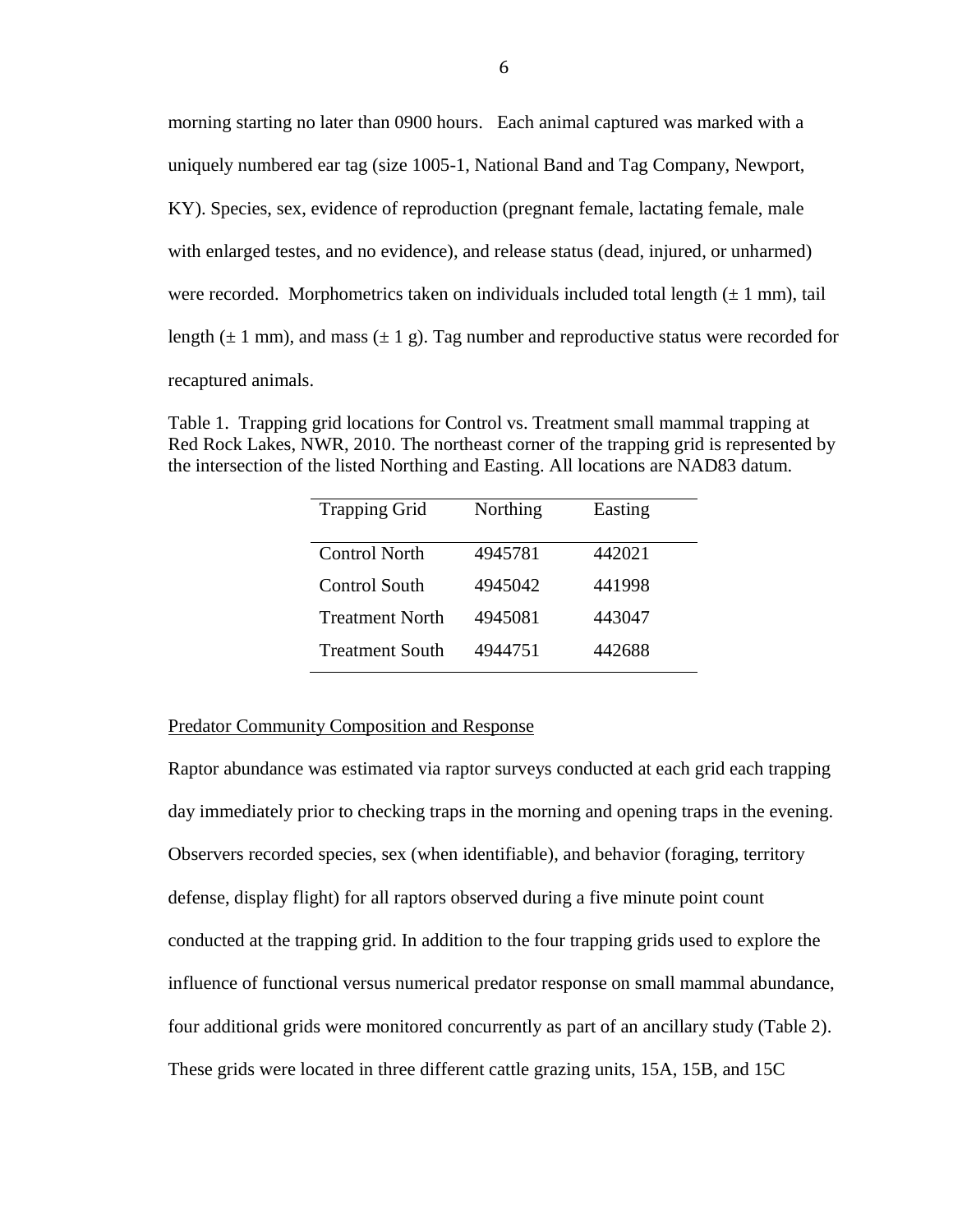morning starting no later than 0900 hours. Each animal captured was marked with a uniquely numbered ear tag (size 1005-1, National Band and Tag Company, Newport, KY). Species, sex, evidence of reproduction (pregnant female, lactating female, male with enlarged testes, and no evidence), and release status (dead, injured, or unharmed) were recorded. Morphometrics taken on individuals included total length  $(\pm 1 \text{ mm})$ , tail length  $(\pm 1 \text{ mm})$ , and mass  $(\pm 1 \text{ g})$ . Tag number and reproductive status were recorded for recaptured animals.

Table 1. Trapping grid locations for Control vs. Treatment small mammal trapping at Red Rock Lakes, NWR, 2010. The northeast corner of the trapping grid is represented by the intersection of the listed Northing and Easting. All locations are NAD83 datum.

| <b>Trapping Grid</b>   | Northing | Easting |
|------------------------|----------|---------|
| <b>Control North</b>   | 4945781  | 442021  |
| <b>Control South</b>   | 4945042  | 441998  |
| <b>Treatment North</b> | 4945081  | 443047  |
| <b>Treatment South</b> | 4944751  | 442688  |

### Predator Community Composition and Response

Raptor abundance was estimated via raptor surveys conducted at each grid each trapping day immediately prior to checking traps in the morning and opening traps in the evening. Observers recorded species, sex (when identifiable), and behavior (foraging, territory defense, display flight) for all raptors observed during a five minute point count conducted at the trapping grid. In addition to the four trapping grids used to explore the influence of functional versus numerical predator response on small mammal abundance, four additional grids were monitored concurrently as part of an ancillary study (Table 2). These grids were located in three different cattle grazing units, 15A, 15B, and 15C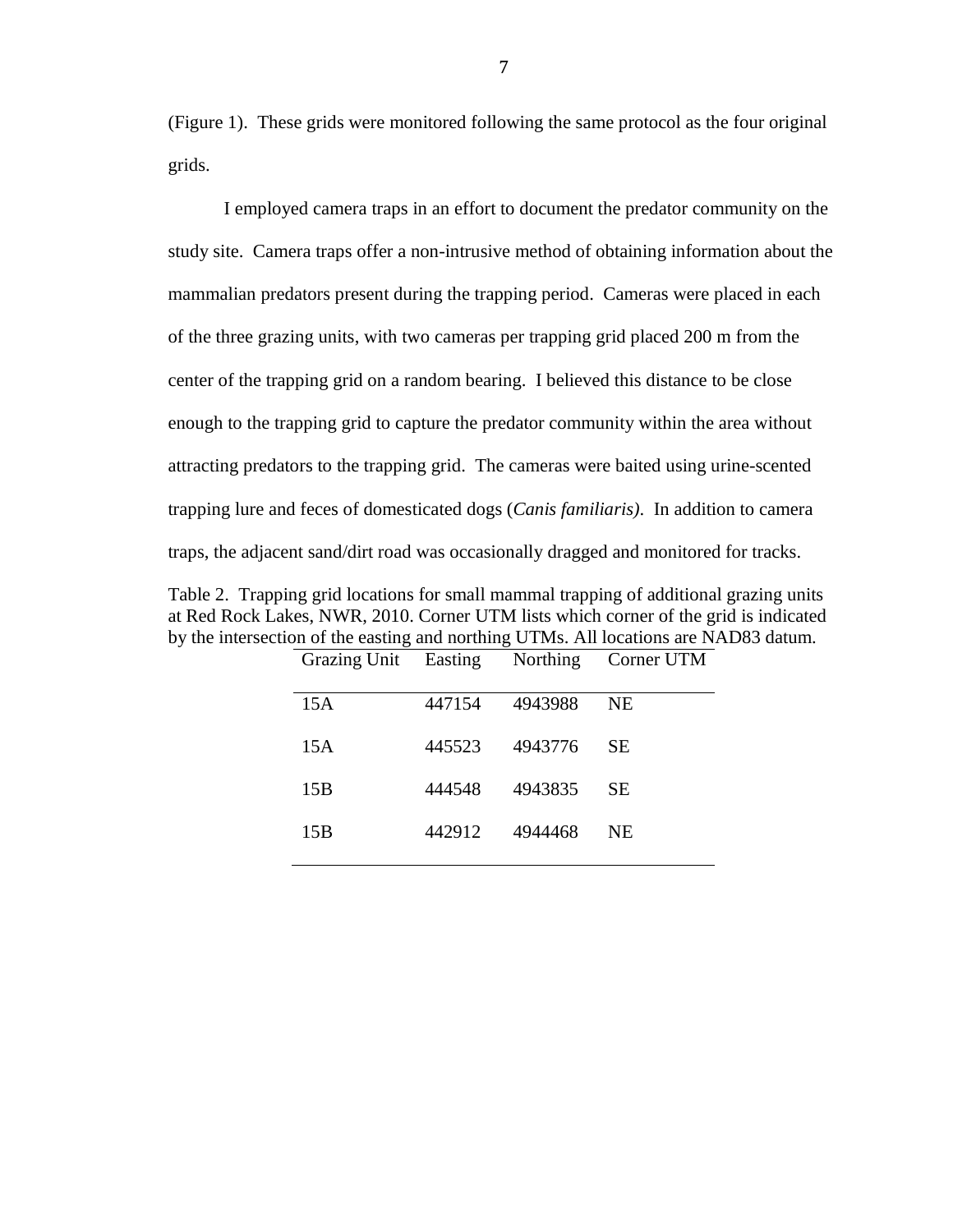(Figure 1). These grids were monitored following the same protocol as the four original grids.

I employed camera traps in an effort to document the predator community on the study site. Camera traps offer a non-intrusive method of obtaining information about the mammalian predators present during the trapping period. Cameras were placed in each of the three grazing units, with two cameras per trapping grid placed 200 m from the center of the trapping grid on a random bearing. I believed this distance to be close enough to the trapping grid to capture the predator community within the area without attracting predators to the trapping grid. The cameras were baited using urine-scented trapping lure and feces of domesticated dogs (*Canis familiaris)*. In addition to camera traps, the adjacent sand/dirt road was occasionally dragged and monitored for tracks.

Table 2. Trapping grid locations for small mammal trapping of additional grazing units at Red Rock Lakes, NWR, 2010. Corner UTM lists which corner of the grid is indicated by the intersection of the easting and northing UTMs. All locations are NAD83 datum.

| Grazing Unit Easting |        |         | Northing Corner UTM |
|----------------------|--------|---------|---------------------|
| 15A                  | 447154 | 4943988 | NE.                 |
| 15A                  | 445523 | 4943776 | <b>SE</b>           |
| 15B                  | 444548 | 4943835 | <b>SE</b>           |
| 15B                  | 442912 | 4944468 | NE.                 |
|                      |        |         |                     |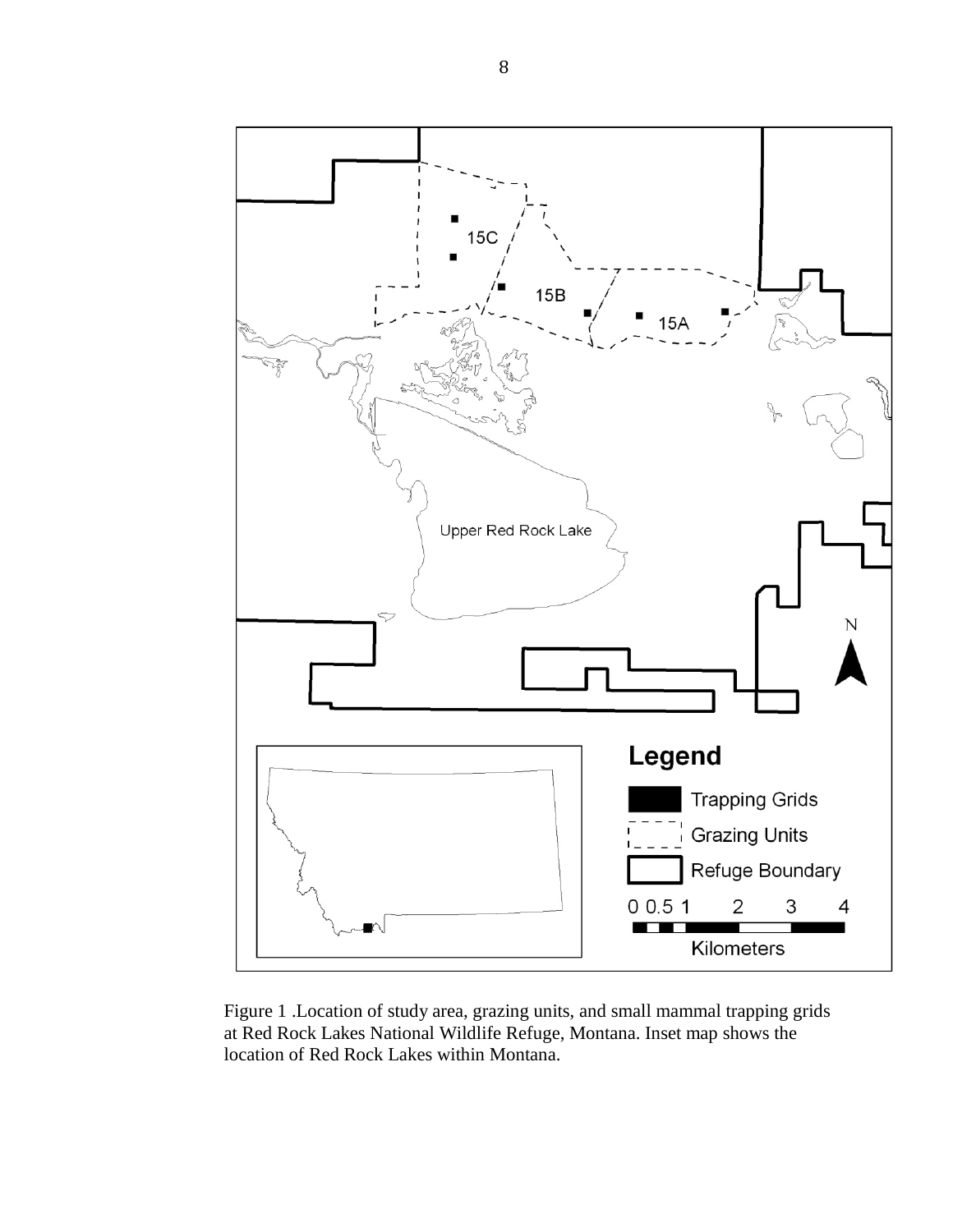

Figure 1 .Location of study area, grazing units, and small mammal trapping grids at Red Rock Lakes National Wildlife Refuge, Montana. Inset map shows the location of Red Rock Lakes within Montana.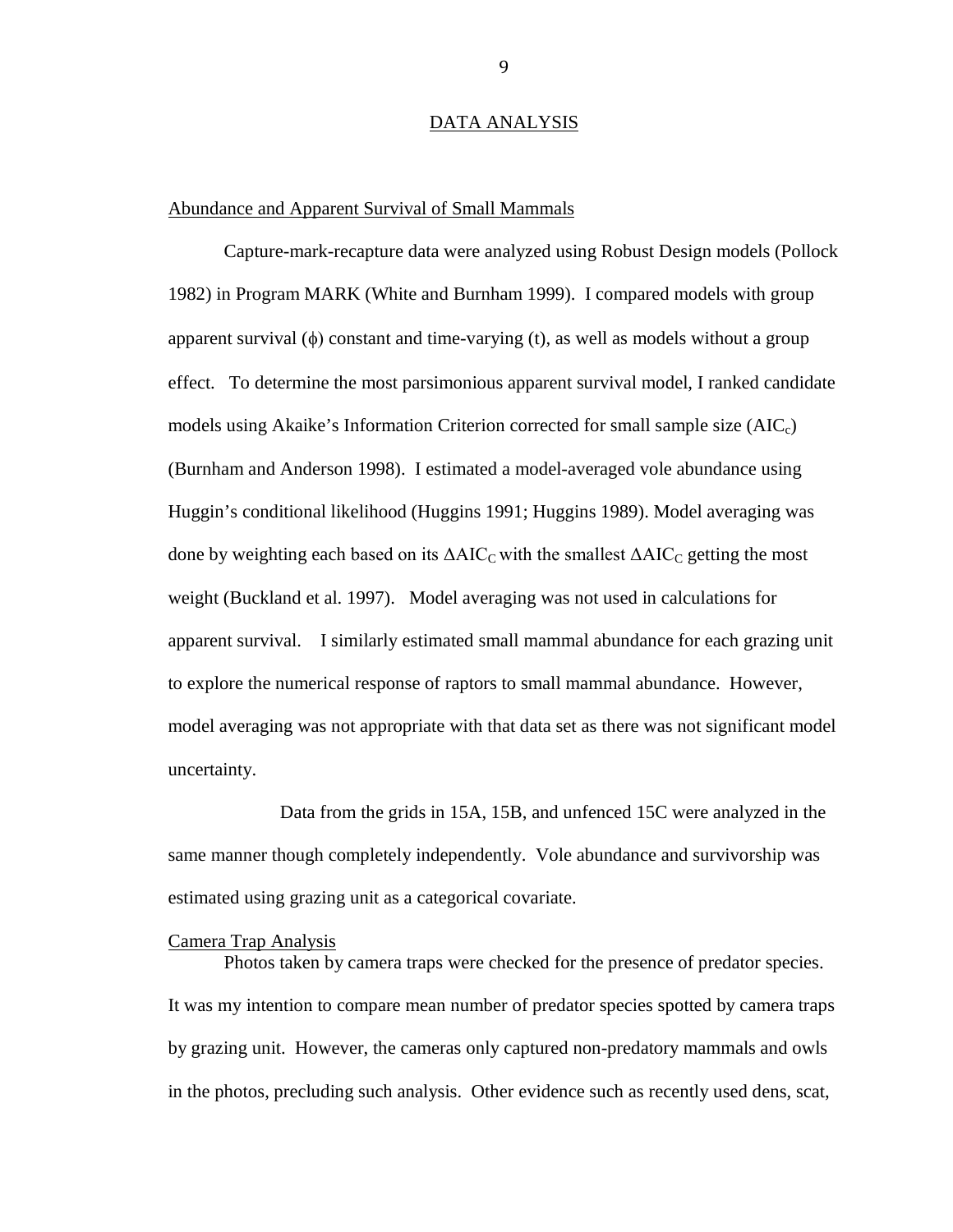### DATA ANALYSIS

### Abundance and Apparent Survival of Small Mammals

Capture-mark-recapture data were analyzed using Robust Design models (Pollock 1982) in Program MARK (White and Burnham 1999). I compared models with group apparent survival  $(\phi)$  constant and time-varying  $(t)$ , as well as models without a group effect. To determine the most parsimonious apparent survival model, I ranked candidate models using Akaike's Information Criterion corrected for small sample size  $(AIC<sub>c</sub>)$ (Burnham and Anderson 1998). I estimated a model-averaged vole abundance using Huggin's conditional likelihood (Huggins 1991; Huggins 1989). Model averaging was done by weighting each based on its  $\Delta AIC_C$  with the smallest  $\Delta AIC_C$  getting the most weight (Buckland et al. 1997). Model averaging was not used in calculations for apparent survival. I similarly estimated small mammal abundance for each grazing unit to explore the numerical response of raptors to small mammal abundance. However, model averaging was not appropriate with that data set as there was not significant model uncertainty.

Data from the grids in 15A, 15B, and unfenced 15C were analyzed in the same manner though completely independently. Vole abundance and survivorship was estimated using grazing unit as a categorical covariate.

# Camera Trap Analysis

Photos taken by camera traps were checked for the presence of predator species. It was my intention to compare mean number of predator species spotted by camera traps by grazing unit. However, the cameras only captured non-predatory mammals and owls in the photos, precluding such analysis. Other evidence such as recently used dens, scat,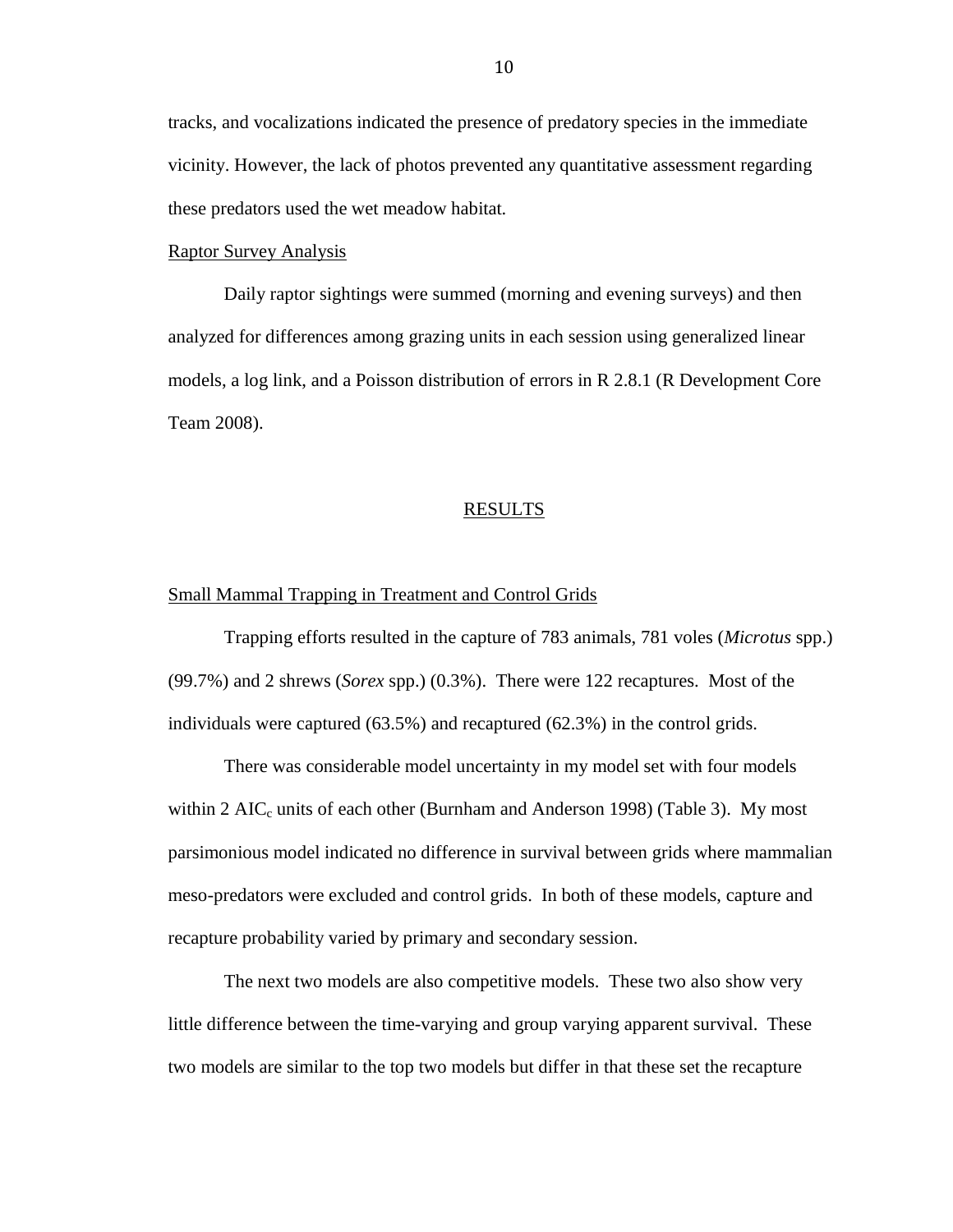tracks, and vocalizations indicated the presence of predatory species in the immediate vicinity. However, the lack of photos prevented any quantitative assessment regarding these predators used the wet meadow habitat.

### Raptor Survey Analysis

Daily raptor sightings were summed (morning and evening surveys) and then analyzed for differences among grazing units in each session using generalized linear models, a log link, and a Poisson distribution of errors in R 2.8.1 (R Development Core Team 2008).

#### RESULTS

### Small Mammal Trapping in Treatment and Control Grids

Trapping efforts resulted in the capture of 783 animals, 781 voles (*Microtus* spp.) (99.7%) and 2 shrews (*Sorex* spp.) (0.3%). There were 122 recaptures. Most of the individuals were captured (63.5%) and recaptured (62.3%) in the control grids.

There was considerable model uncertainty in my model set with four models within 2 AIC<sub>c</sub> units of each other (Burnham and Anderson 1998) (Table 3). My most parsimonious model indicated no difference in survival between grids where mammalian meso-predators were excluded and control grids. In both of these models, capture and recapture probability varied by primary and secondary session.

The next two models are also competitive models. These two also show very little difference between the time-varying and group varying apparent survival. These two models are similar to the top two models but differ in that these set the recapture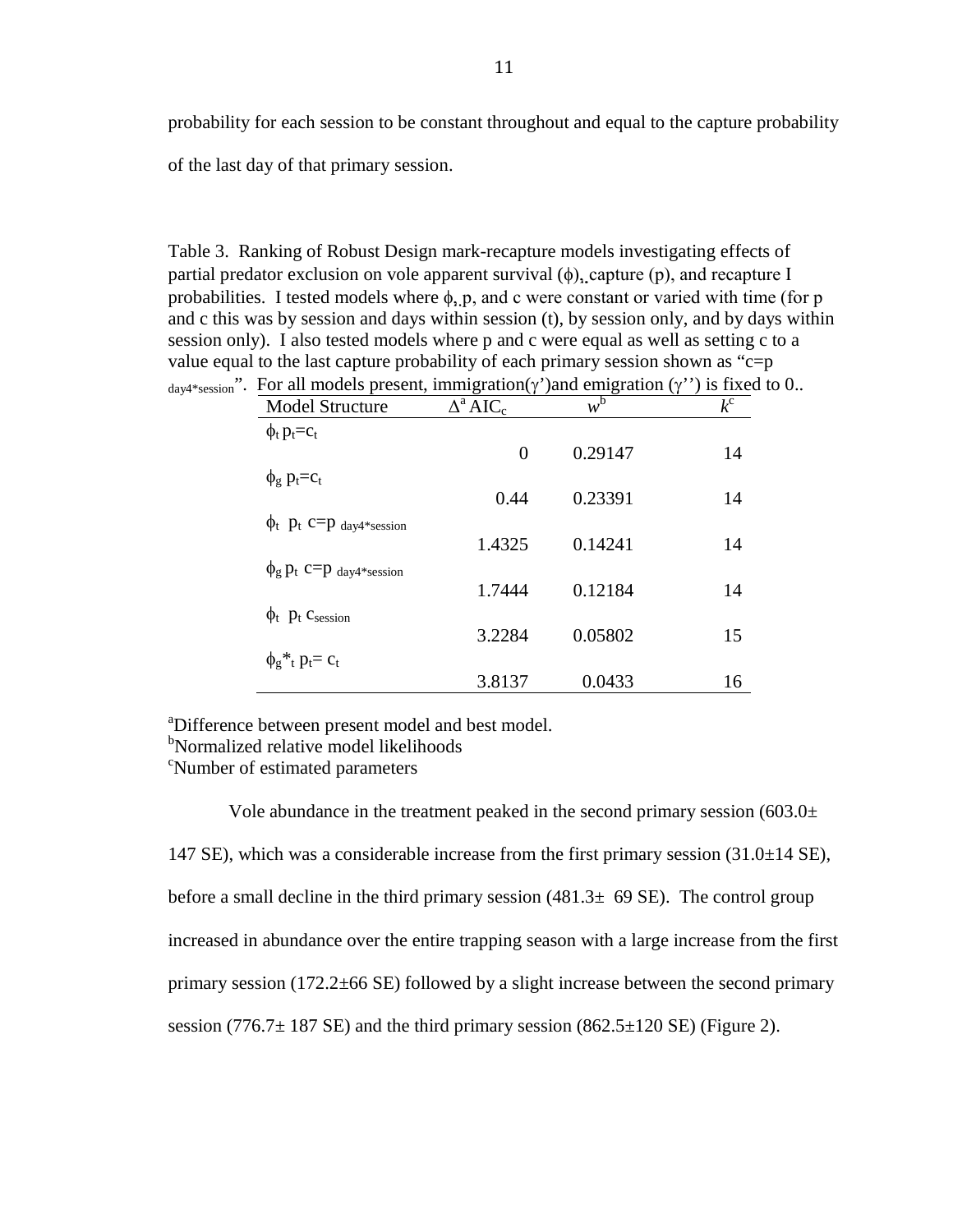probability for each session to be constant throughout and equal to the capture probability of the last day of that primary session.

Table 3. Ranking of Robust Design mark-recapture models investigating effects of partial predator exclusion on vole apparent survival  $(\phi)$ , capture  $(p)$ , and recapture I probabilities. I tested models where  $\phi$ , p, and c were constant or varied with time (for p and c this was by session and days within session (t), by session only, and by days within session only). I also tested models where p and c were equal as well as setting c to a value equal to the last capture probability of each primary session shown as " $c=p$ "

| <b>Model Structure</b>                   | $\Delta^a AIC_c$ | $w^b$   | $k^{c}$ |
|------------------------------------------|------------------|---------|---------|
| $\phi_t$ $p_t = c_t$                     |                  |         |         |
|                                          | $\theta$         | 0.29147 | 14      |
| $\phi_{g}$ $p_{t}=c_{t}$                 |                  |         |         |
|                                          | 0.44             | 0.23391 | 14      |
| $\phi_t$ P <sub>t</sub> C=P day4*session |                  |         |         |
|                                          | 1.4325           | 0.14241 | 14      |
| $\phi_{g}$ $p_{t}$ $c=p$ day4*session    |                  |         |         |
|                                          | 1.7444           | 0.12184 | 14      |
| $\phi_t$ $p_t$ Csession                  | 3.2284           | 0.05802 | 15      |
|                                          |                  |         |         |
| $\phi_g *_{t} p_t = c_t$                 | 3.8137           | 0.0433  | 16      |
|                                          |                  |         |         |

 $_{\text{dav4*session}}$ ". For all models present, immigration(γ')and emigration (γ'') is fixed to 0..

<sup>a</sup>Difference between present model and best model.

<sup>b</sup>Normalized relative model likelihoods

<sup>c</sup>Number of estimated parameters

Vole abundance in the treatment peaked in the second primary session  $(603.0±$ 147 SE), which was a considerable increase from the first primary session (31.0±14 SE), before a small decline in the third primary session  $(481.3 \pm 69 \text{ SE})$ . The control group increased in abundance over the entire trapping season with a large increase from the first primary session (172.2±66 SE) followed by a slight increase between the second primary session (776.7 $\pm$  187 SE) and the third primary session (862.5 $\pm$ 120 SE) (Figure 2).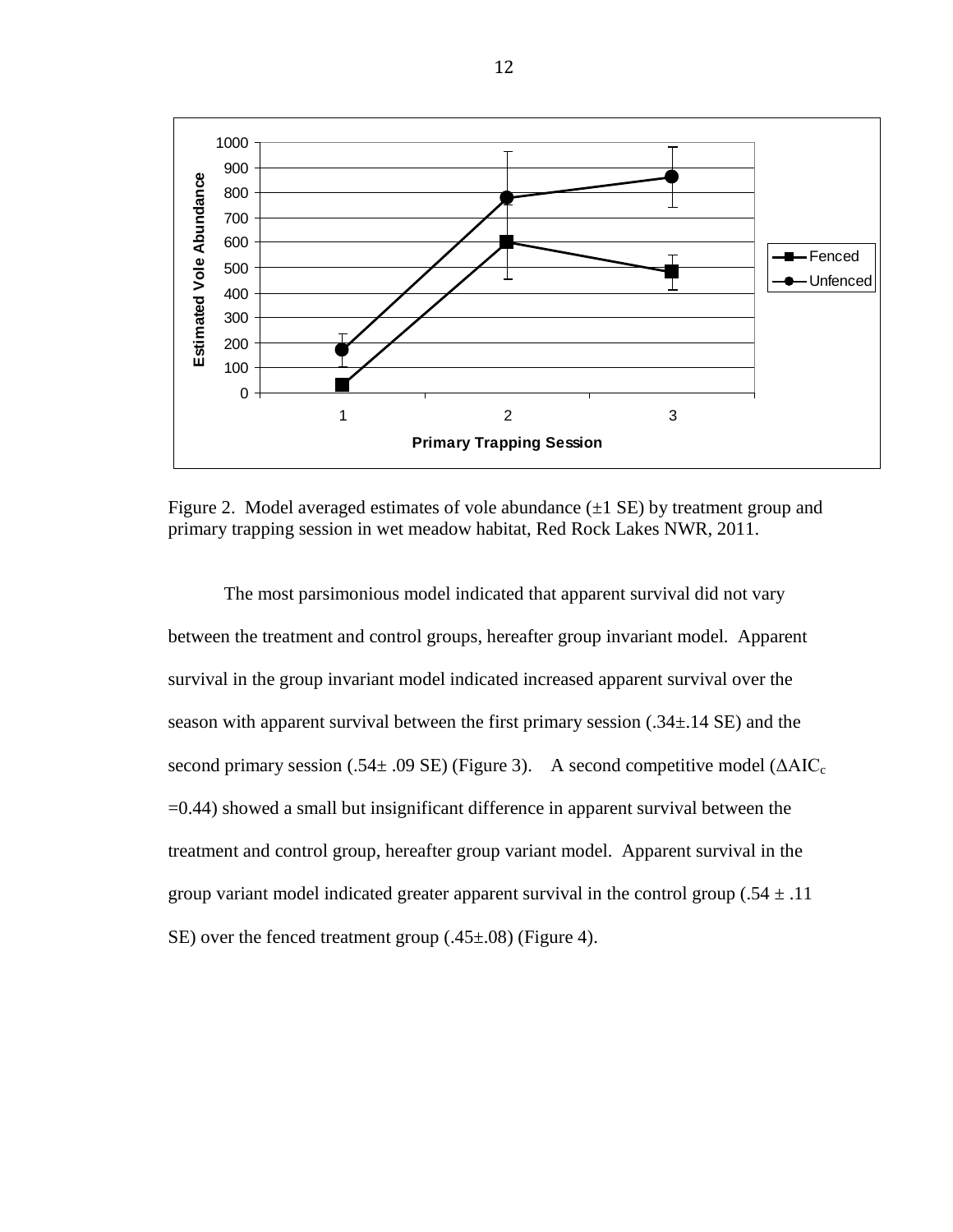

Figure 2. Model averaged estimates of vole abundance  $(\pm 1 \text{ SE})$  by treatment group and primary trapping session in wet meadow habitat, Red Rock Lakes NWR, 2011.

The most parsimonious model indicated that apparent survival did not vary between the treatment and control groups, hereafter group invariant model. Apparent survival in the group invariant model indicated increased apparent survival over the season with apparent survival between the first primary session (.34±.14 SE) and the second primary session (.54 $\pm$  .09 SE) (Figure 3). A second competitive model ( $\Delta AIC_c$ =0.44) showed a small but insignificant difference in apparent survival between the treatment and control group, hereafter group variant model. Apparent survival in the group variant model indicated greater apparent survival in the control group (.54  $\pm$  .11 SE) over the fenced treatment group (.45±.08) (Figure 4).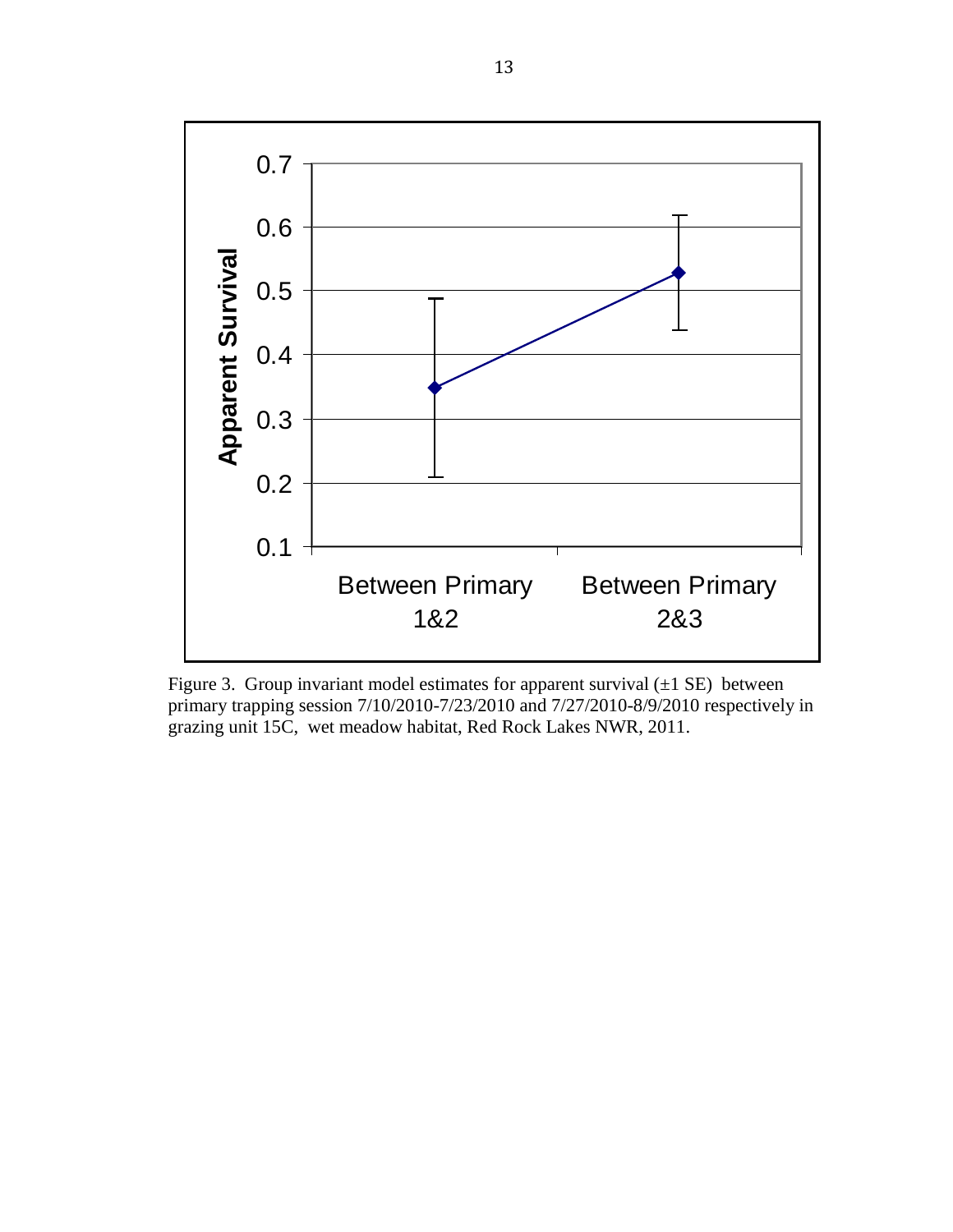

Figure 3. Group invariant model estimates for apparent survival  $(\pm 1 \text{ SE})$  between primary trapping session 7/10/2010-7/23/2010 and 7/27/2010-8/9/2010 respectively in grazing unit 15C, wet meadow habitat, Red Rock Lakes NWR, 2011.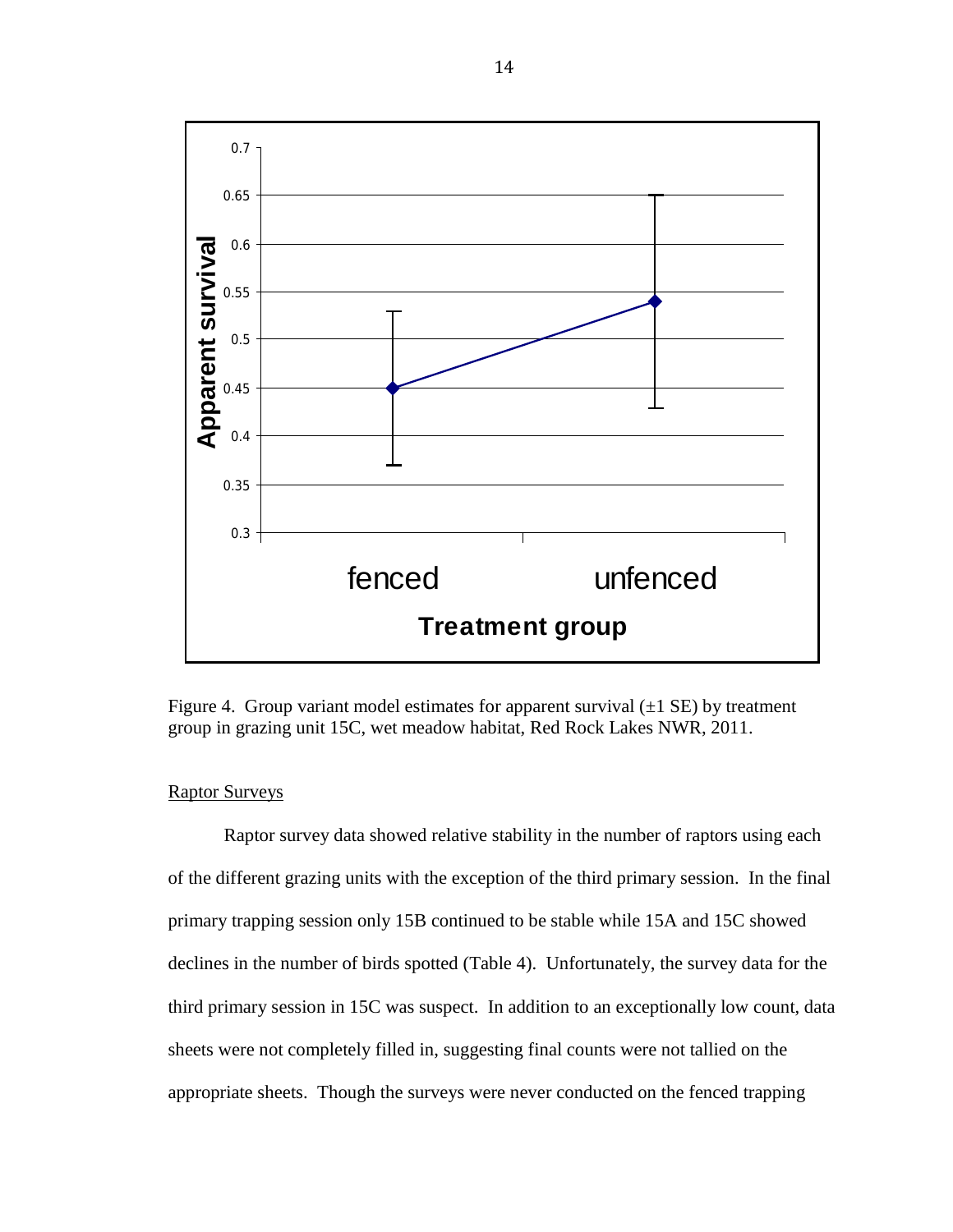

Figure 4. Group variant model estimates for apparent survival  $(\pm 1 \text{ SE})$  by treatment group in grazing unit 15C, wet meadow habitat, Red Rock Lakes NWR, 2011.

# Raptor Surveys

Raptor survey data showed relative stability in the number of raptors using each of the different grazing units with the exception of the third primary session. In the final primary trapping session only 15B continued to be stable while 15A and 15C showed declines in the number of birds spotted (Table 4). Unfortunately, the survey data for the third primary session in 15C was suspect. In addition to an exceptionally low count, data sheets were not completely filled in, suggesting final counts were not tallied on the appropriate sheets. Though the surveys were never conducted on the fenced trapping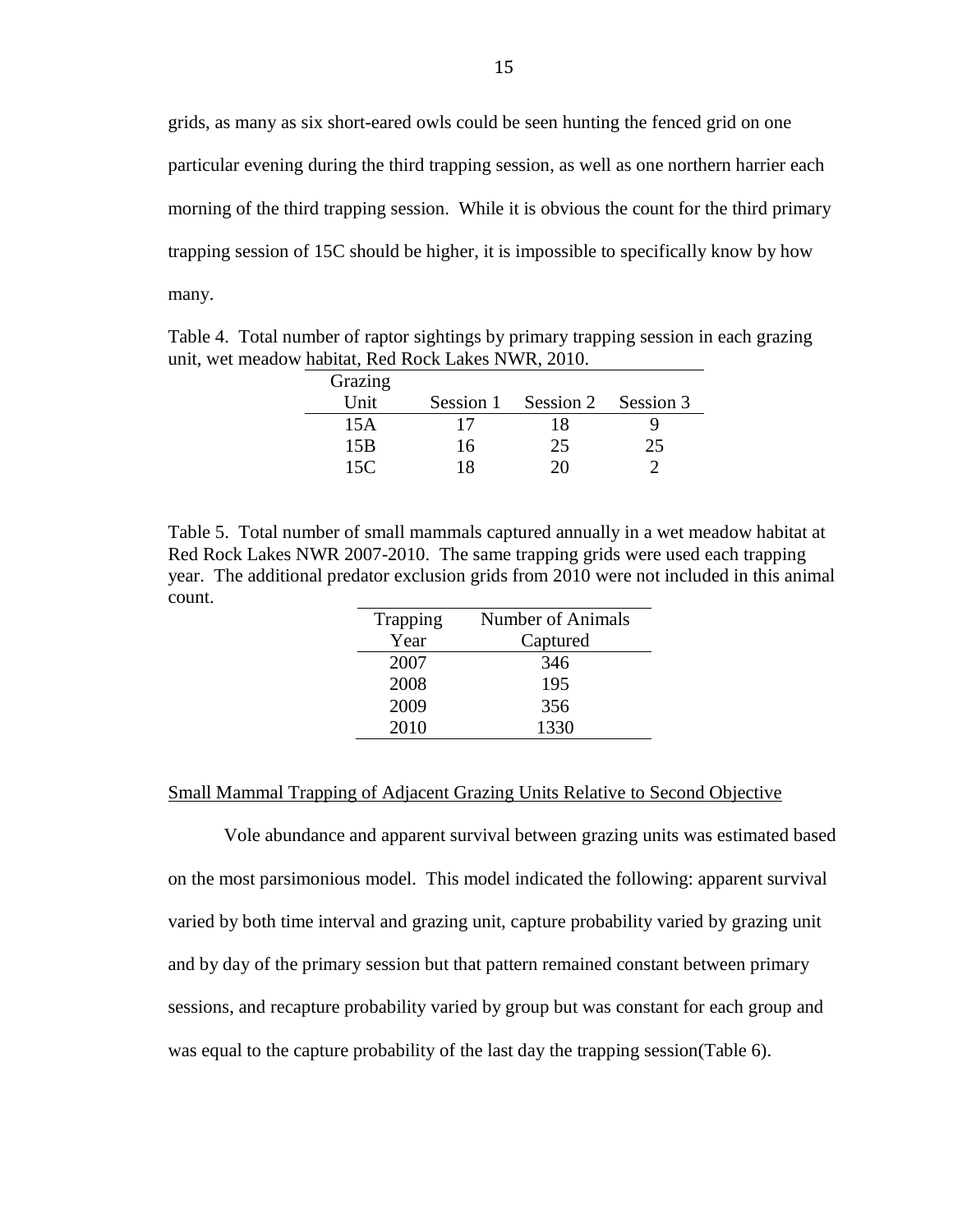grids, as many as six short-eared owls could be seen hunting the fenced grid on one particular evening during the third trapping session, as well as one northern harrier each morning of the third trapping session. While it is obvious the count for the third primary trapping session of 15C should be higher, it is impossible to specifically know by how many.

Table 4. Total number of raptor sightings by primary trapping session in each grazing unit, wet meadow habitat, Red Rock Lakes NWR, 2010.

| Grazing |    |                               |    |
|---------|----|-------------------------------|----|
| Unit    |    | Session 1 Session 2 Session 3 |    |
| 15A     | 17 | 18                            |    |
| 15B     | 16 | 25                            | 25 |
| 15 $C$  | 18 |                               |    |

Table 5. Total number of small mammals captured annually in a wet meadow habitat at Red Rock Lakes NWR 2007-2010. The same trapping grids were used each trapping year. The additional predator exclusion grids from 2010 were not included in this animal count.

| Trapping | <b>Number of Animals</b> |
|----------|--------------------------|
| Year     | Captured                 |
| 2007     | 346                      |
| 2008     | 195                      |
| 2009     | 356                      |
| 2010     | 1330                     |

## Small Mammal Trapping of Adjacent Grazing Units Relative to Second Objective

Vole abundance and apparent survival between grazing units was estimated based on the most parsimonious model. This model indicated the following: apparent survival varied by both time interval and grazing unit, capture probability varied by grazing unit and by day of the primary session but that pattern remained constant between primary sessions, and recapture probability varied by group but was constant for each group and was equal to the capture probability of the last day the trapping session(Table 6).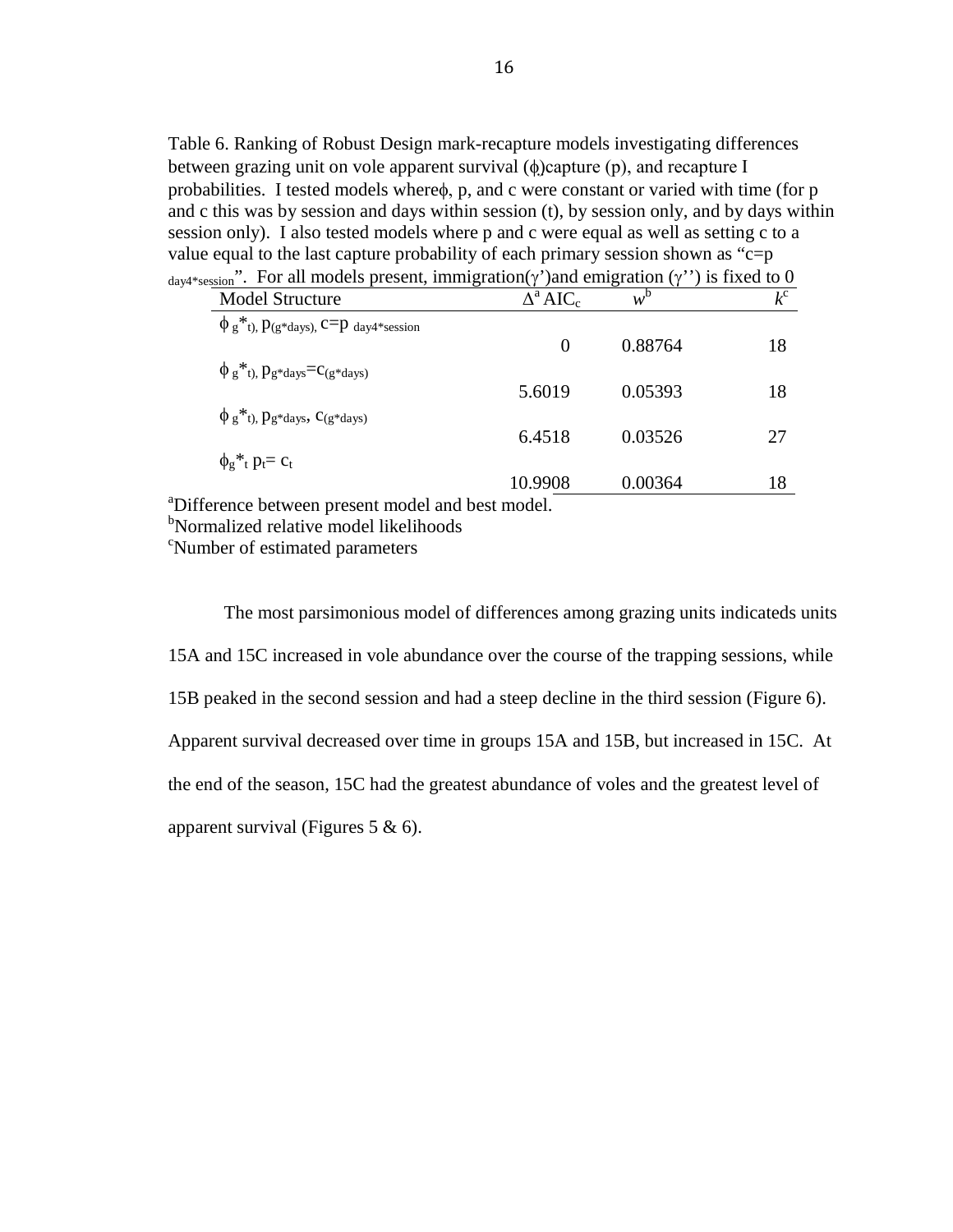Table 6. Ranking of Robust Design mark-recapture models investigating differences between grazing unit on vole apparent survival (φ)capture (p), and recapture I probabilities. I tested models whereφ, p, and c were constant or varied with time (for p and c this was by session and days within session (t), by session only, and by days within session only). I also tested models where p and c were equal as well as setting c to a value equal to the last capture probability of each primary session shown as " $c=p$ "  $_{\text{dav4*session}}$ ". For all models present, immigration(γ')and emigration (γ'') is fixed to 0

| <b>Model Structure</b>                                                                           | $\Delta^a AIC_c$ | $w^{b}$ | $k^{c}$ |
|--------------------------------------------------------------------------------------------------|------------------|---------|---------|
| $\phi$ g <sup>*</sup> t), $p$ (g <sup>*</sup> days), C=p day4 <sup>*</sup> session               |                  |         |         |
|                                                                                                  | $\Omega$         | 0.88764 | 18      |
| $\phi_{g}$ <sup>*</sup> <sub>t</sub> ), $p_{g}$ * <sub>days</sub> = $c_{(g}$ * <sub>days</sub> ) |                  |         |         |
|                                                                                                  | 5.6019           | 0.05393 | 18      |
| $\phi_{g}$ <sup>*</sup> t), $p_{g}$ *days, C <sub>(g</sub> *days)                                |                  |         |         |
|                                                                                                  | 6.4518           | 0.03526 | 27      |
| $\phi_{g}$ <sup>*</sup> <sub>t</sub> $p_t$ = $c_t$                                               |                  |         |         |
|                                                                                                  | 10.9908          | 0.00364 | 18      |
| a Difference between present model and best model.                                               |                  |         |         |

<sup>b</sup>Normalized relative model likelihoods

<sup>c</sup>Number of estimated parameters

The most parsimonious model of differences among grazing units indicateds units 15A and 15C increased in vole abundance over the course of the trapping sessions, while 15B peaked in the second session and had a steep decline in the third session (Figure 6). Apparent survival decreased over time in groups 15A and 15B, but increased in 15C. At the end of the season, 15C had the greatest abundance of voles and the greatest level of apparent survival (Figures 5 & 6).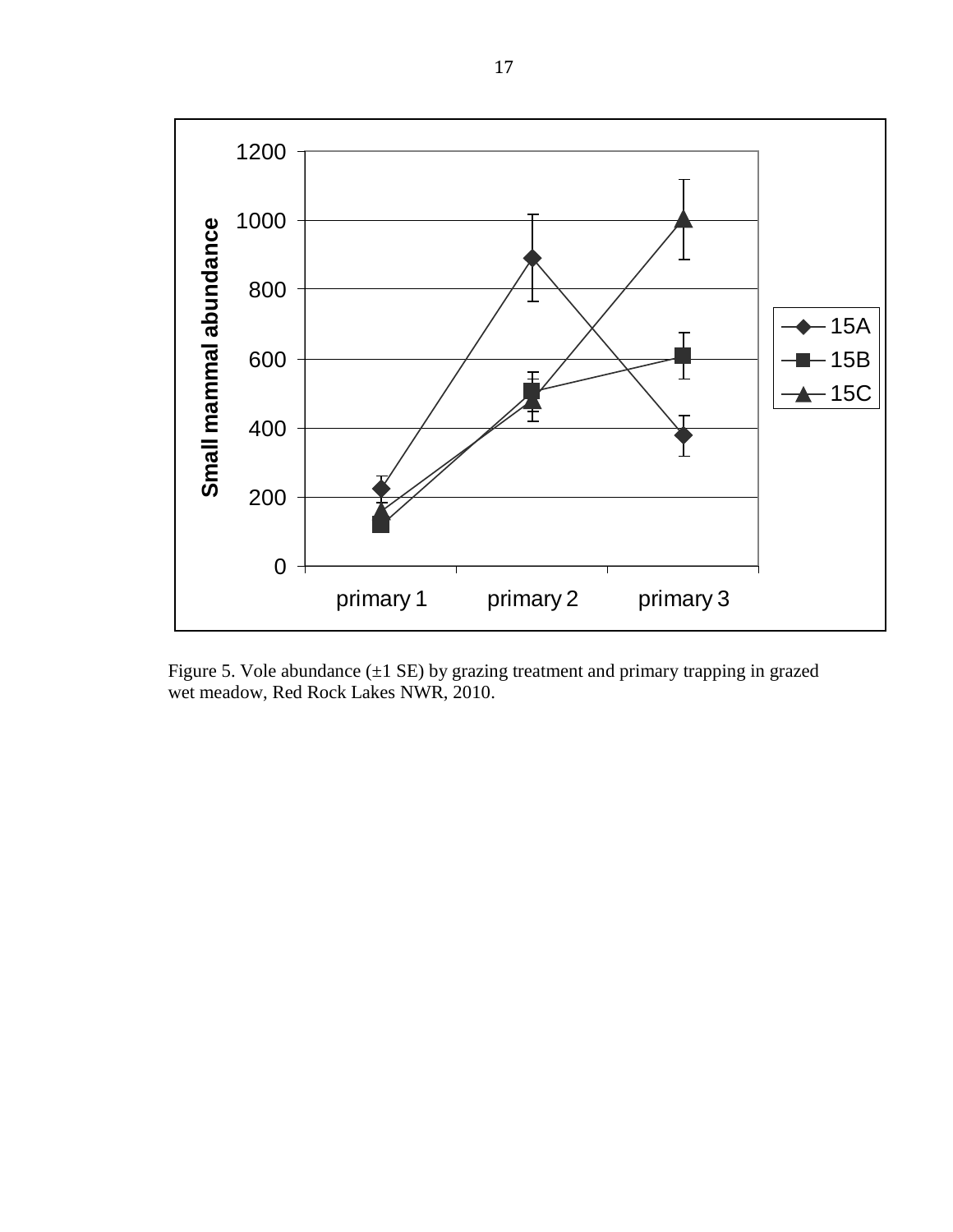

Figure 5. Vole abundance  $(\pm 1 \text{ SE})$  by grazing treatment and primary trapping in grazed wet meadow, Red Rock Lakes NWR, 2010.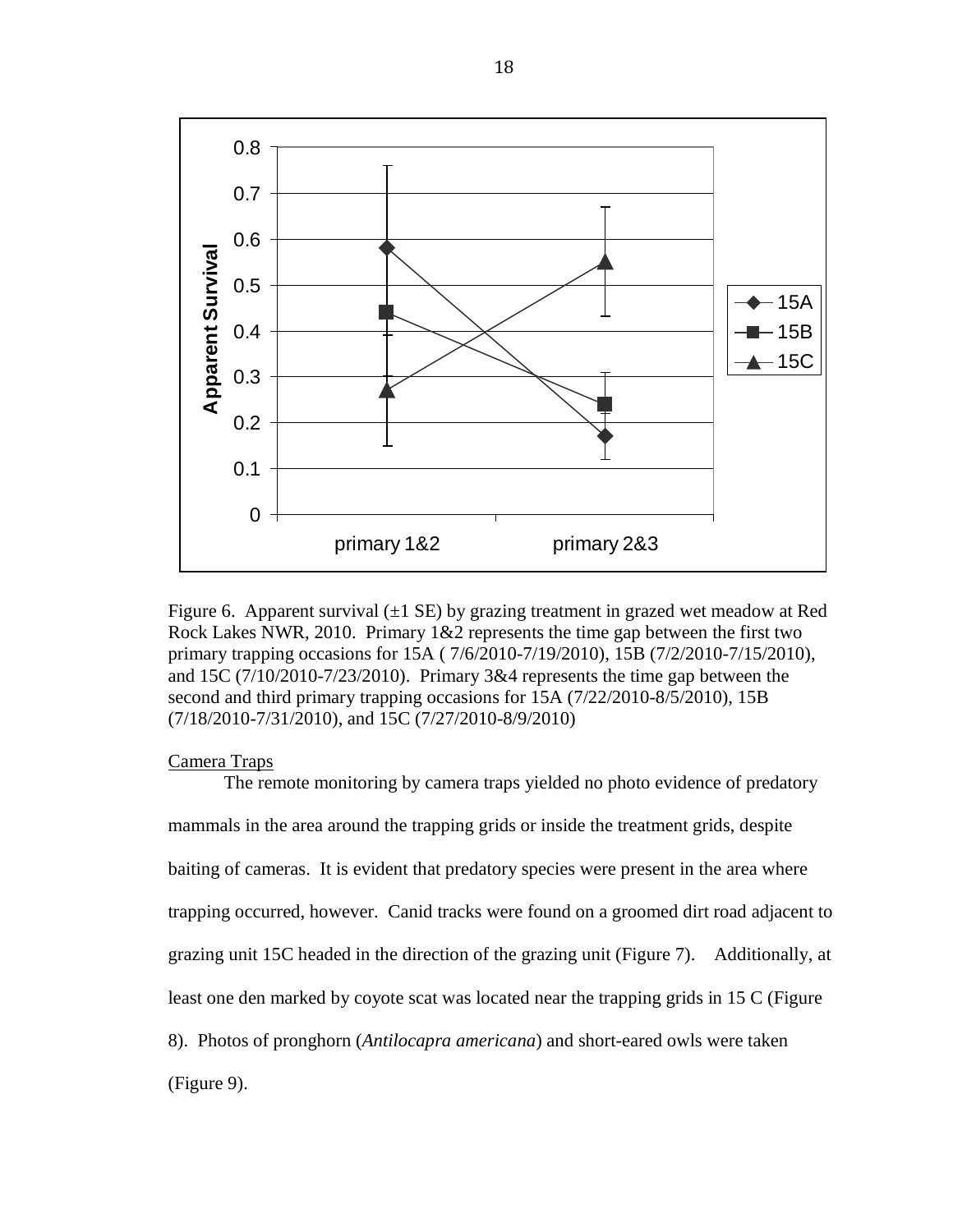

Figure 6. Apparent survival  $(\pm 1 \text{ SE})$  by grazing treatment in grazed wet meadow at Red Rock Lakes NWR, 2010. Primary 1&2 represents the time gap between the first two primary trapping occasions for 15A ( 7/6/2010-7/19/2010), 15B (7/2/2010-7/15/2010), and 15C (7/10/2010-7/23/2010). Primary 3&4 represents the time gap between the second and third primary trapping occasions for 15A (7/22/2010-8/5/2010), 15B (7/18/2010-7/31/2010), and 15C (7/27/2010-8/9/2010)

# Camera Traps

The remote monitoring by camera traps yielded no photo evidence of predatory mammals in the area around the trapping grids or inside the treatment grids, despite baiting of cameras. It is evident that predatory species were present in the area where trapping occurred, however. Canid tracks were found on a groomed dirt road adjacent to grazing unit 15C headed in the direction of the grazing unit (Figure 7). Additionally, at least one den marked by coyote scat was located near the trapping grids in 15 C (Figure 8). Photos of pronghorn (*Antilocapra americana*) and short-eared owls were taken (Figure 9).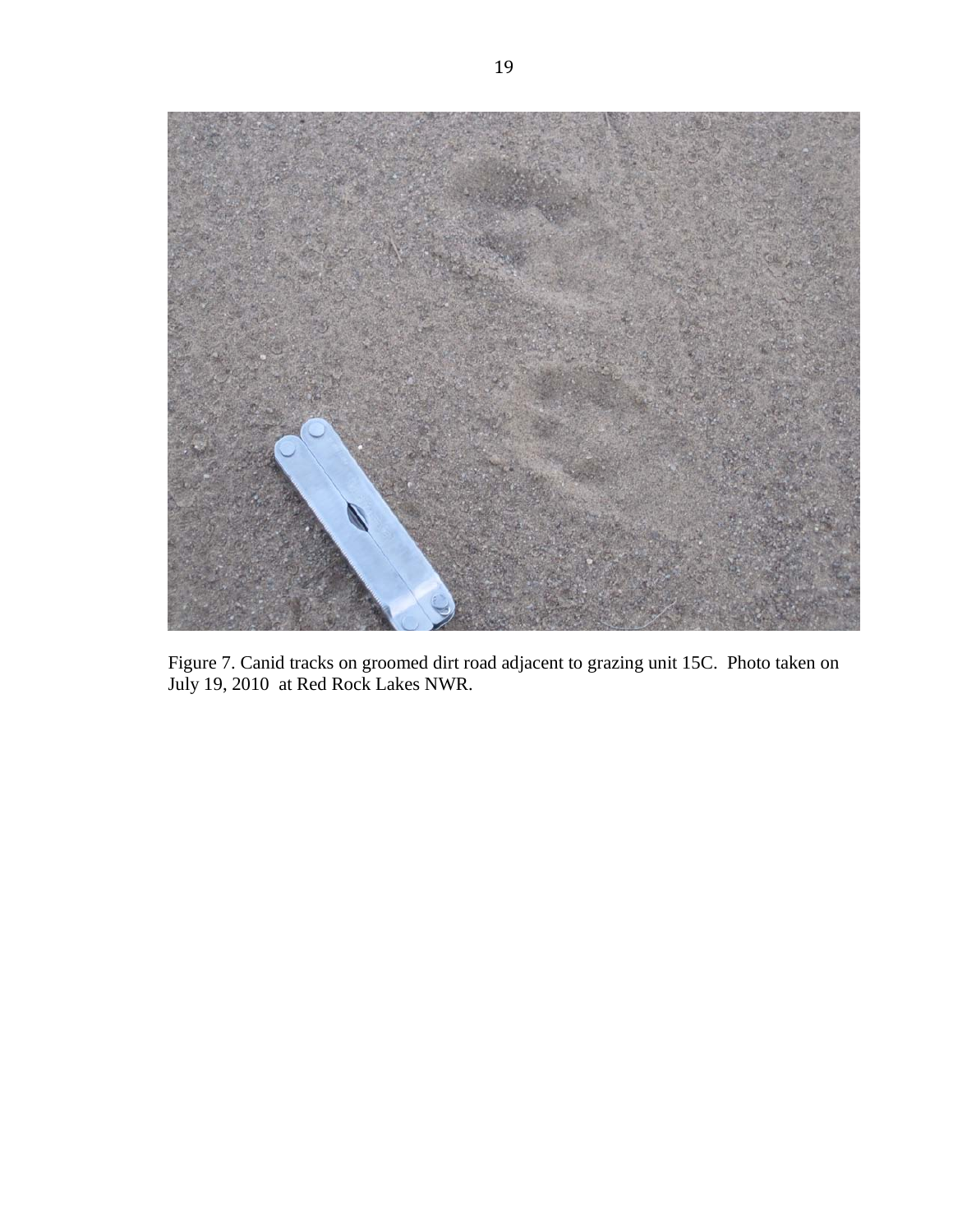

Figure 7. Canid tracks on groomed dirt road adjacent to grazing unit 15C. Photo taken on July 19, 2010 at Red Rock Lakes NWR.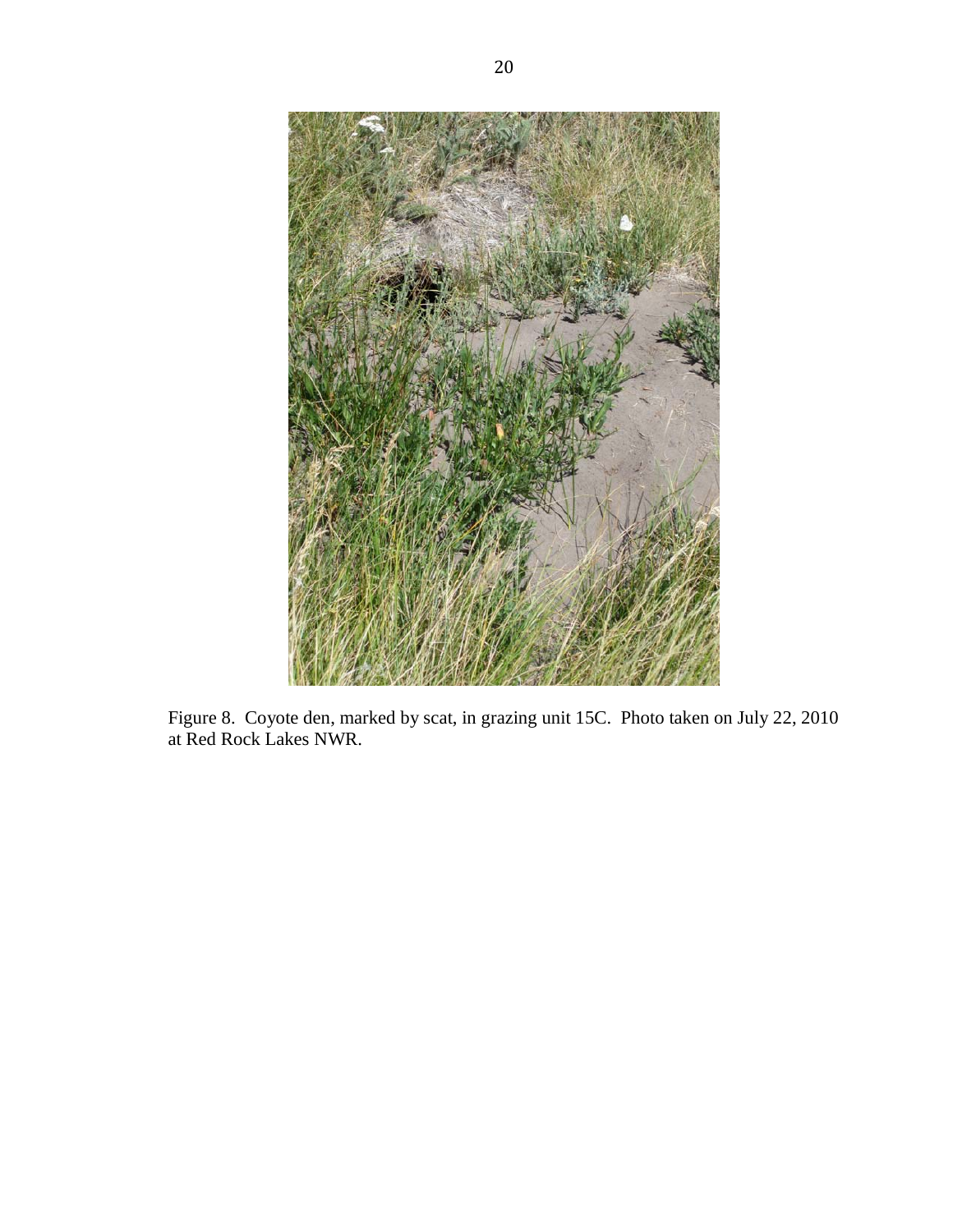

Figure 8. Coyote den, marked by scat, in grazing unit 15C. Photo taken on July 22, 2010 at Red Rock Lakes NWR.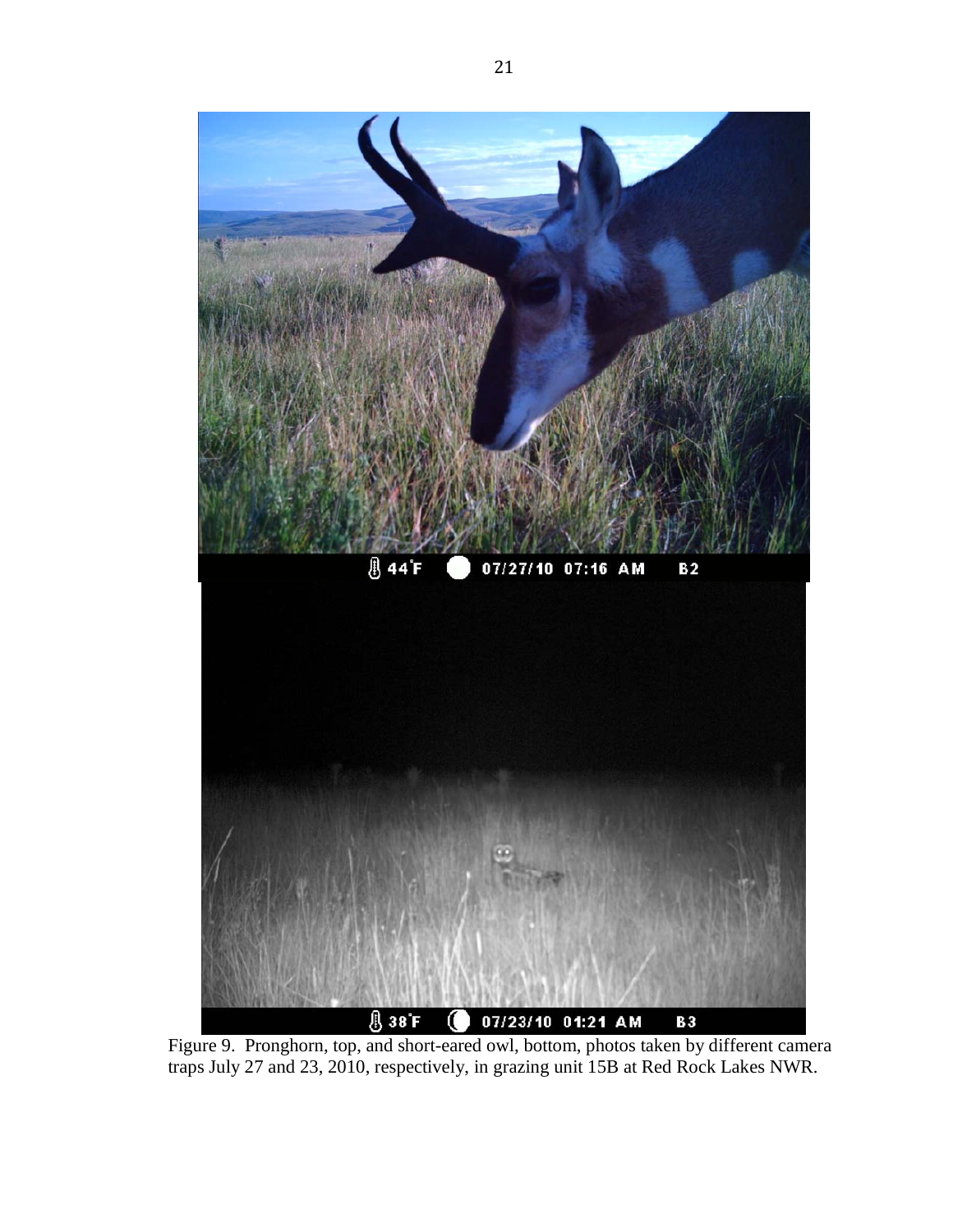

Figure 9. Pronghorn, top, and short-eared owl, bottom, photos taken by different camera traps July 27 and 23, 2010, respectively, in grazing unit 15B at Red Rock Lakes NWR.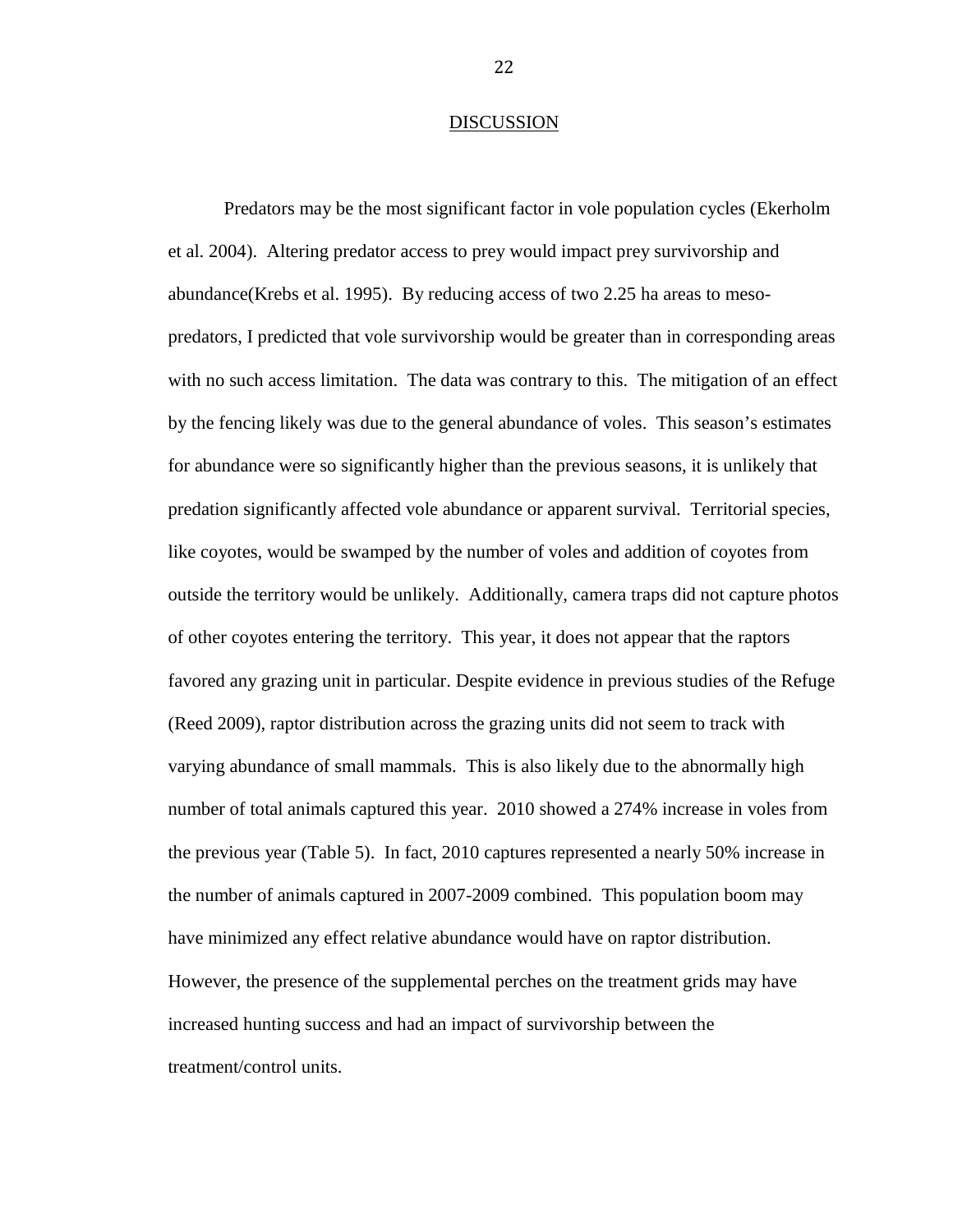#### DISCUSSION

Predators may be the most significant factor in vole population cycles (Ekerholm et al. 2004). Altering predator access to prey would impact prey survivorship and abundance(Krebs et al. 1995). By reducing access of two 2.25 ha areas to mesopredators, I predicted that vole survivorship would be greater than in corresponding areas with no such access limitation. The data was contrary to this. The mitigation of an effect by the fencing likely was due to the general abundance of voles. This season's estimates for abundance were so significantly higher than the previous seasons, it is unlikely that predation significantly affected vole abundance or apparent survival. Territorial species, like coyotes, would be swamped by the number of voles and addition of coyotes from outside the territory would be unlikely. Additionally, camera traps did not capture photos of other coyotes entering the territory. This year, it does not appear that the raptors favored any grazing unit in particular. Despite evidence in previous studies of the Refuge (Reed 2009), raptor distribution across the grazing units did not seem to track with varying abundance of small mammals. This is also likely due to the abnormally high number of total animals captured this year. 2010 showed a 274% increase in voles from the previous year (Table 5). In fact, 2010 captures represented a nearly 50% increase in the number of animals captured in 2007-2009 combined. This population boom may have minimized any effect relative abundance would have on raptor distribution. However, the presence of the supplemental perches on the treatment grids may have increased hunting success and had an impact of survivorship between the treatment/control units.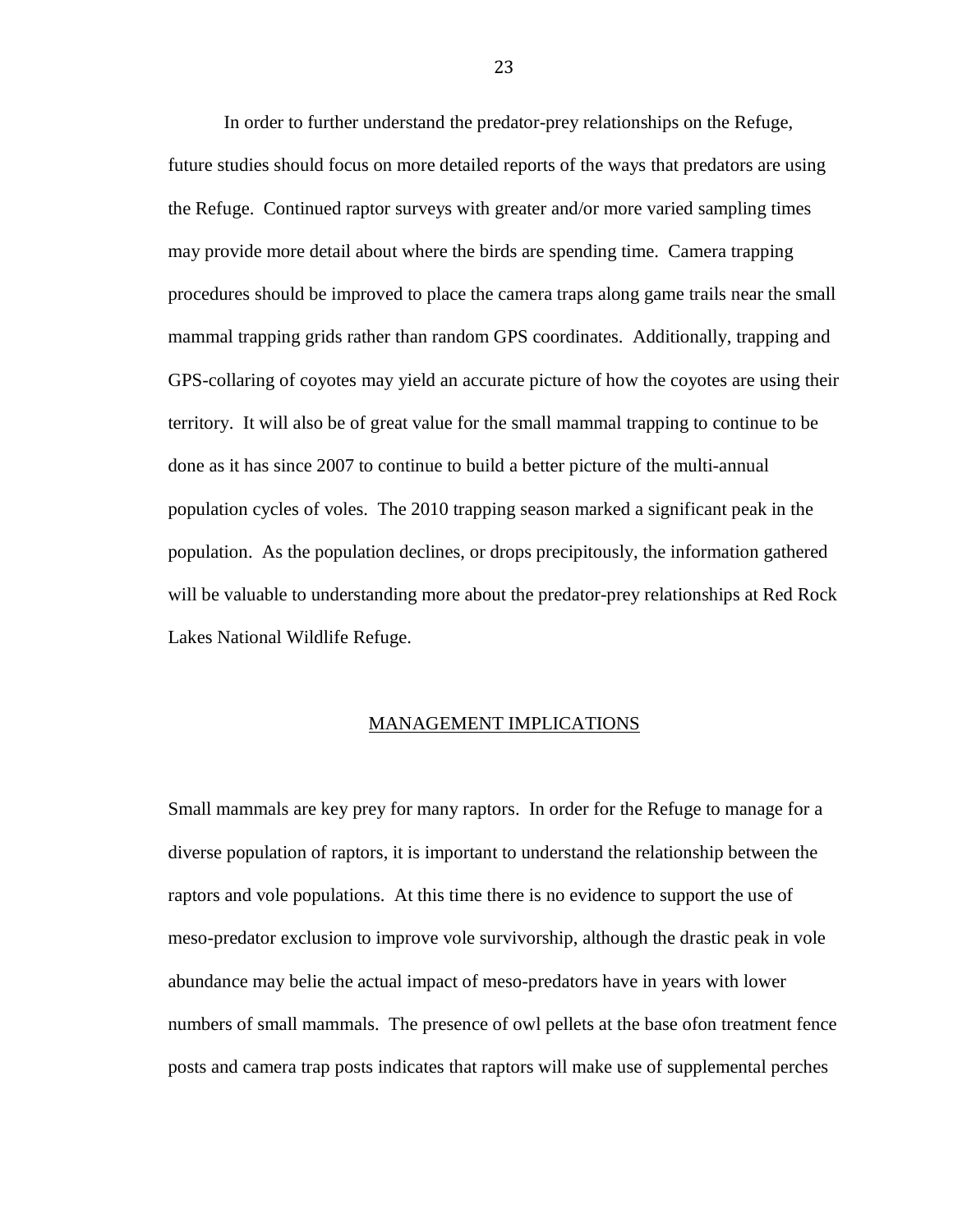In order to further understand the predator-prey relationships on the Refuge, future studies should focus on more detailed reports of the ways that predators are using the Refuge. Continued raptor surveys with greater and/or more varied sampling times may provide more detail about where the birds are spending time. Camera trapping procedures should be improved to place the camera traps along game trails near the small mammal trapping grids rather than random GPS coordinates. Additionally, trapping and GPS-collaring of coyotes may yield an accurate picture of how the coyotes are using their territory. It will also be of great value for the small mammal trapping to continue to be done as it has since 2007 to continue to build a better picture of the multi-annual population cycles of voles. The 2010 trapping season marked a significant peak in the population. As the population declines, or drops precipitously, the information gathered will be valuable to understanding more about the predator-prey relationships at Red Rock Lakes National Wildlife Refuge.

#### MANAGEMENT IMPLICATIONS

Small mammals are key prey for many raptors. In order for the Refuge to manage for a diverse population of raptors, it is important to understand the relationship between the raptors and vole populations. At this time there is no evidence to support the use of meso-predator exclusion to improve vole survivorship, although the drastic peak in vole abundance may belie the actual impact of meso-predators have in years with lower numbers of small mammals. The presence of owl pellets at the base ofon treatment fence posts and camera trap posts indicates that raptors will make use of supplemental perches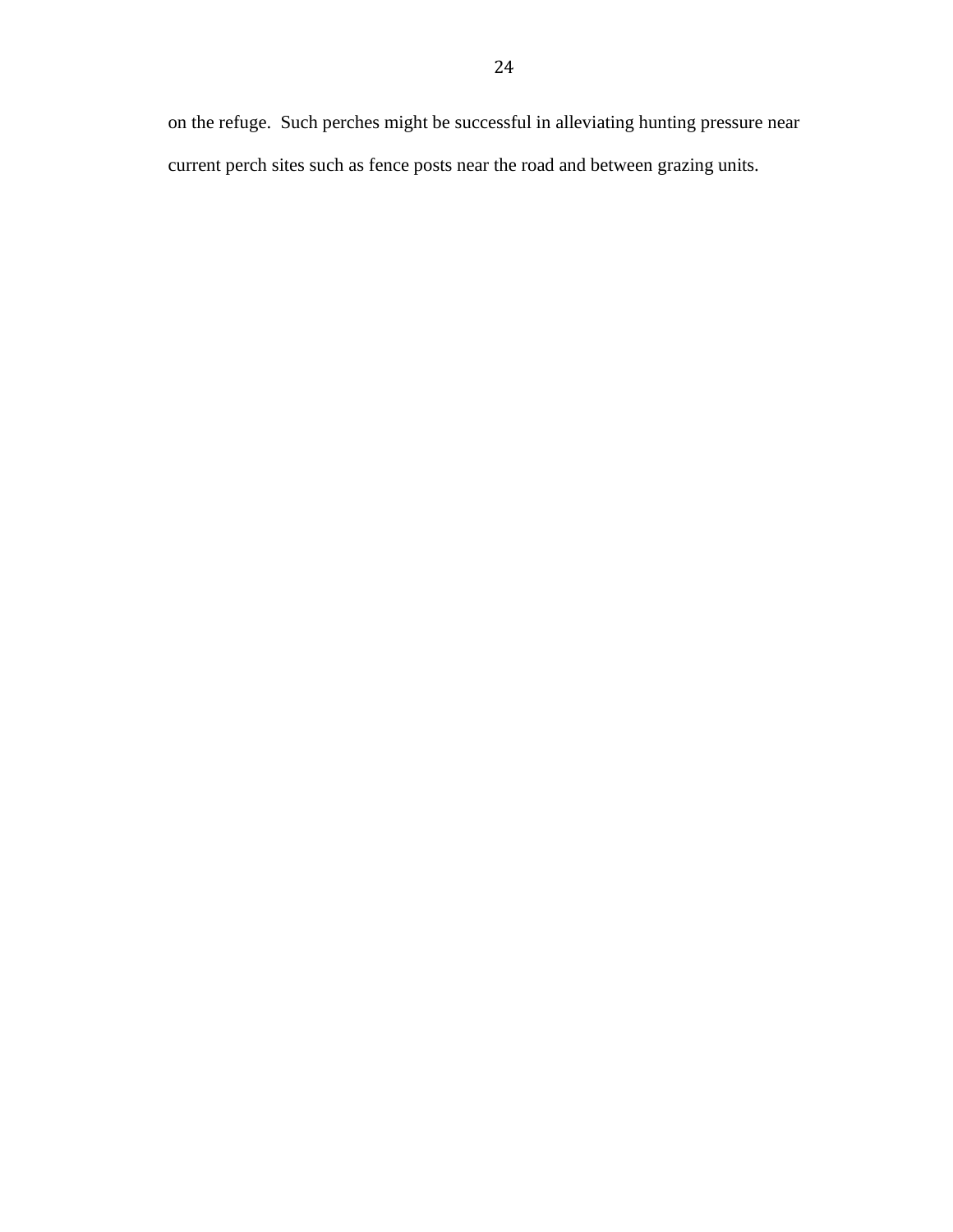on the refuge. Such perches might be successful in alleviating hunting pressure near current perch sites such as fence posts near the road and between grazing units.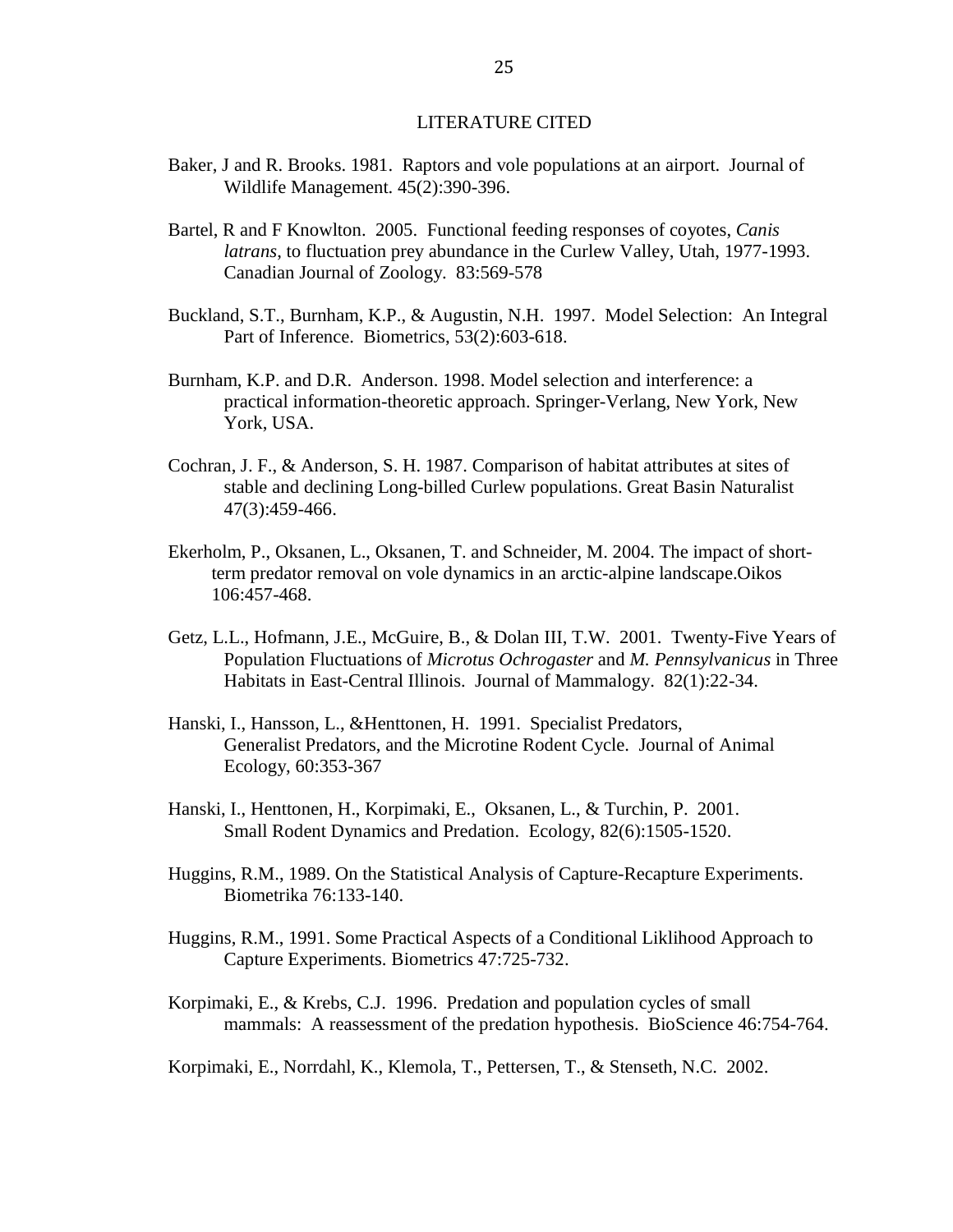#### LITERATURE CITED

- Baker, J and R. Brooks. 1981. Raptors and vole populations at an airport. Journal of Wildlife Management. 45(2):390-396.
- Bartel, R and F Knowlton. 2005. Functional feeding responses of coyotes, *Canis latrans*, to fluctuation prey abundance in the Curlew Valley, Utah, 1977-1993. Canadian Journal of Zoology. 83:569-578
- Buckland, S.T., Burnham, K.P., & Augustin, N.H. 1997. Model Selection: An Integral Part of Inference. Biometrics, 53(2):603-618.
- Burnham, K.P. and D.R. Anderson. 1998. Model selection and interference: a practical information-theoretic approach. Springer-Verlang, New York, New York, USA.
- Cochran, J. F., & Anderson, S. H. 1987. Comparison of habitat attributes at sites of stable and declining Long-billed Curlew populations. Great Basin Naturalist 47(3):459-466.
- Ekerholm, P., Oksanen, L., Oksanen, T. and Schneider, M. 2004. The impact of shortterm predator removal on vole dynamics in an arctic-alpine landscape.Oikos 106:457-468.
- Getz, L.L., Hofmann, J.E., McGuire, B., & Dolan III, T.W. 2001. Twenty-Five Years of Population Fluctuations of *Microtus Ochrogaster* and *M. Pennsylvanicus* in Three Habitats in East-Central Illinois. Journal of Mammalogy. 82(1):22-34.
- Hanski, I., Hansson, L., &Henttonen, H. 1991. Specialist Predators, Generalist Predators, and the Microtine Rodent Cycle. Journal of Animal Ecology, 60:353-367
- Hanski, I., Henttonen, H., Korpimaki, E., Oksanen, L., & Turchin, P. 2001. Small Rodent Dynamics and Predation. Ecology, 82(6):1505-1520.
- Huggins, R.M., 1989. On the Statistical Analysis of Capture-Recapture Experiments. Biometrika 76:133-140.
- Huggins, R.M., 1991. Some Practical Aspects of a Conditional Liklihood Approach to Capture Experiments. Biometrics 47:725-732.
- Korpimaki, E., & Krebs, C.J. 1996. Predation and population cycles of small mammals: A reassessment of the predation hypothesis. BioScience 46:754-764.

Korpimaki, E., Norrdahl, K., Klemola, T., Pettersen, T., & Stenseth, N.C. 2002.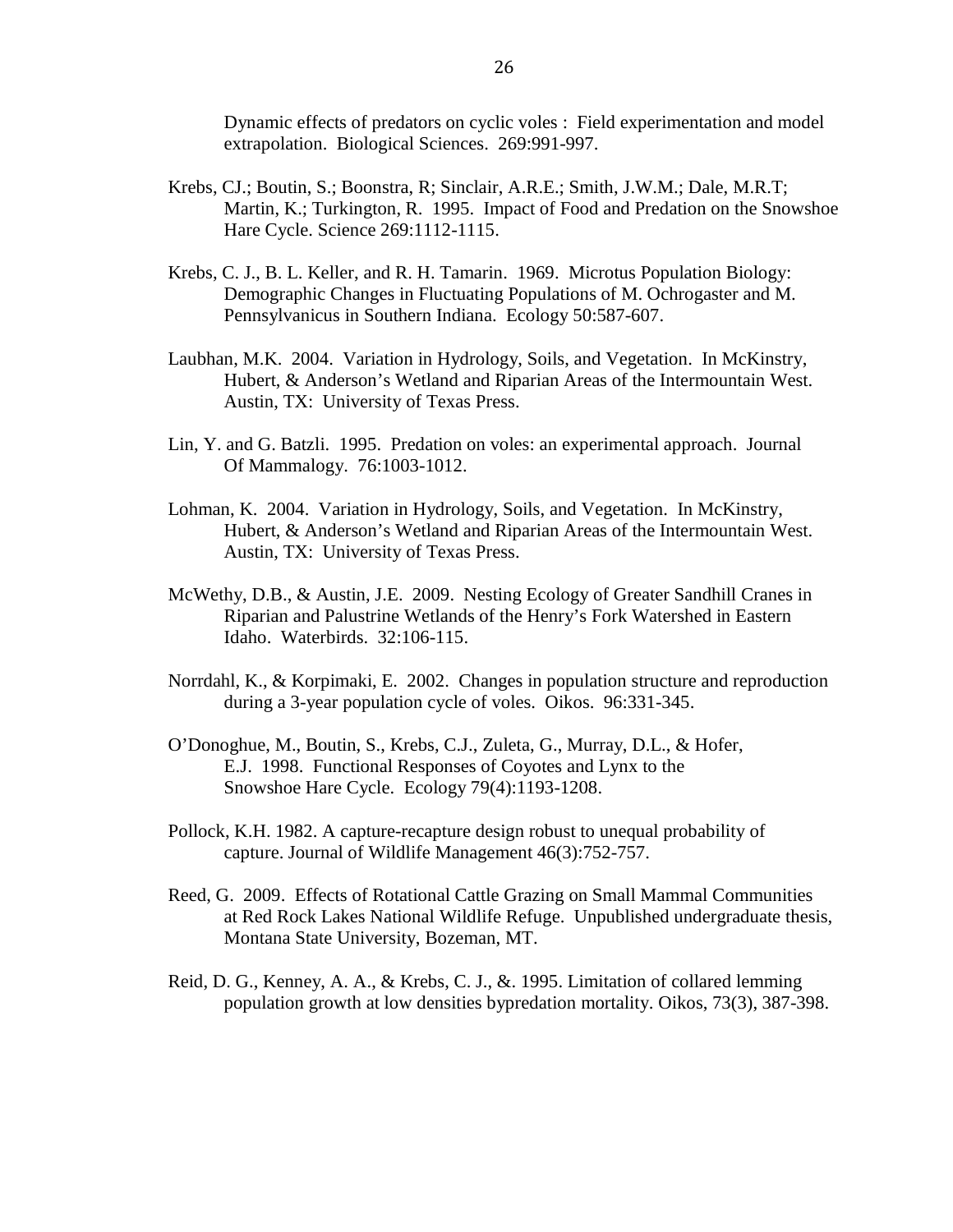Dynamic effects of predators on cyclic voles : Field experimentation and model extrapolation. Biological Sciences. 269:991-997.

- Krebs, CJ.; Boutin, S.; Boonstra, R; Sinclair, A.R.E.; Smith, J.W.M.; Dale, M.R.T; Martin, K.; Turkington, R. 1995. Impact of Food and Predation on the Snowshoe Hare Cycle. Science 269:1112-1115.
- Krebs, C. J., B. L. Keller, and R. H. Tamarin. 1969. Microtus Population Biology: Demographic Changes in Fluctuating Populations of M. Ochrogaster and M. Pennsylvanicus in Southern Indiana. Ecology 50:587-607.
- Laubhan, M.K. 2004. Variation in Hydrology, Soils, and Vegetation. In McKinstry, Hubert, & Anderson's Wetland and Riparian Areas of the Intermountain West. Austin, TX: University of Texas Press.
- Lin, Y. and G. Batzli. 1995. Predation on voles: an experimental approach. Journal Of Mammalogy. 76:1003-1012.
- Lohman, K. 2004. Variation in Hydrology, Soils, and Vegetation. In McKinstry, Hubert, & Anderson's Wetland and Riparian Areas of the Intermountain West. Austin, TX: University of Texas Press.
- McWethy, D.B., & Austin, J.E. 2009. Nesting Ecology of Greater Sandhill Cranes in Riparian and Palustrine Wetlands of the Henry's Fork Watershed in Eastern Idaho. Waterbirds. 32:106-115.
- Norrdahl, K., & Korpimaki, E. 2002. Changes in population structure and reproduction during a 3-year population cycle of voles. Oikos. 96:331-345.
- O'Donoghue, M., Boutin, S., Krebs, C.J., Zuleta, G., Murray, D.L., & Hofer, E.J. 1998. Functional Responses of Coyotes and Lynx to the Snowshoe Hare Cycle. Ecology 79(4):1193-1208.
- Pollock, K.H. 1982. A capture-recapture design robust to unequal probability of capture. Journal of Wildlife Management 46(3):752-757.
- Reed, G. 2009. Effects of Rotational Cattle Grazing on Small Mammal Communities at Red Rock Lakes National Wildlife Refuge. Unpublished undergraduate thesis, Montana State University, Bozeman, MT.
- Reid, D. G., Kenney, A. A., & Krebs, C. J., &. 1995. Limitation of collared lemming population growth at low densities bypredation mortality. Oikos, 73(3), 387-398.